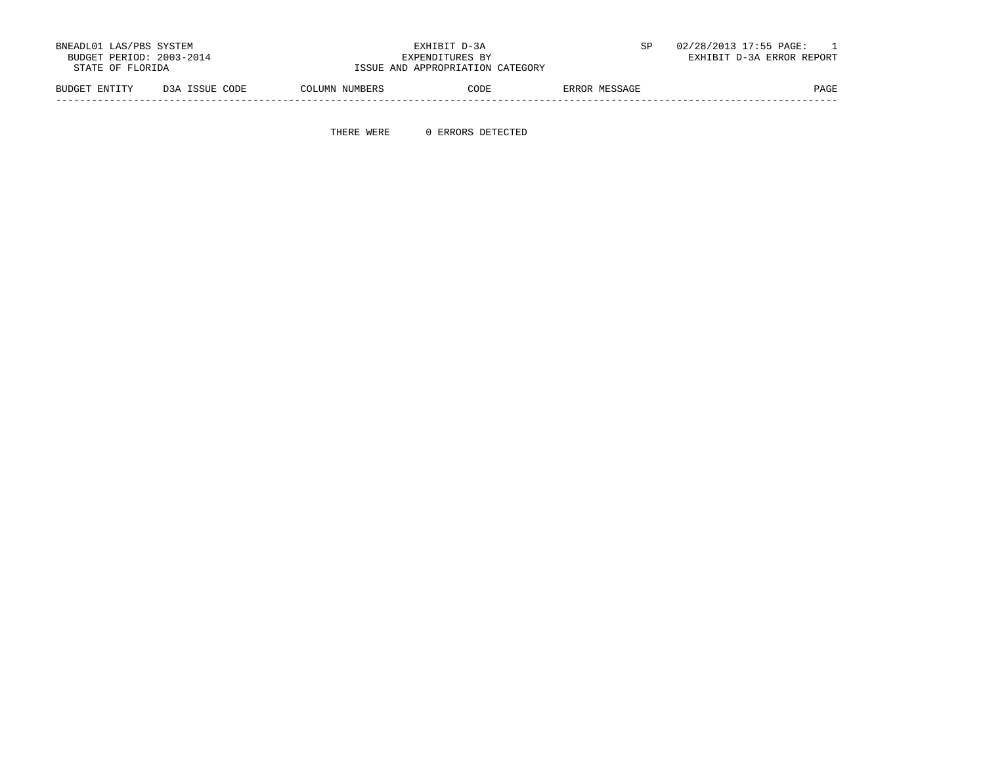| BNEADL01 LAS/PBS SYSTEM  | EXHIBIT D-3A                     | 02/28/2013 17:55 PAGE:    |
|--------------------------|----------------------------------|---------------------------|
| BUDGET PERIOD: 2003-2014 | EXPENDITURES BY                  | EXHIBIT D-3A ERROR REPORT |
| STATE OF FLORIDA         | ISSUE AND APPROPRIATION CATEGORY |                           |
|                          |                                  |                           |

 BUDGET ENTITY D3A ISSUE CODE COLUMN NUMBERS CODE ERROR MESSAGE PAGE -----------------------------------------------------------------------------------------------------------------------------------

THERE WERE 0 ERRORS DETECTED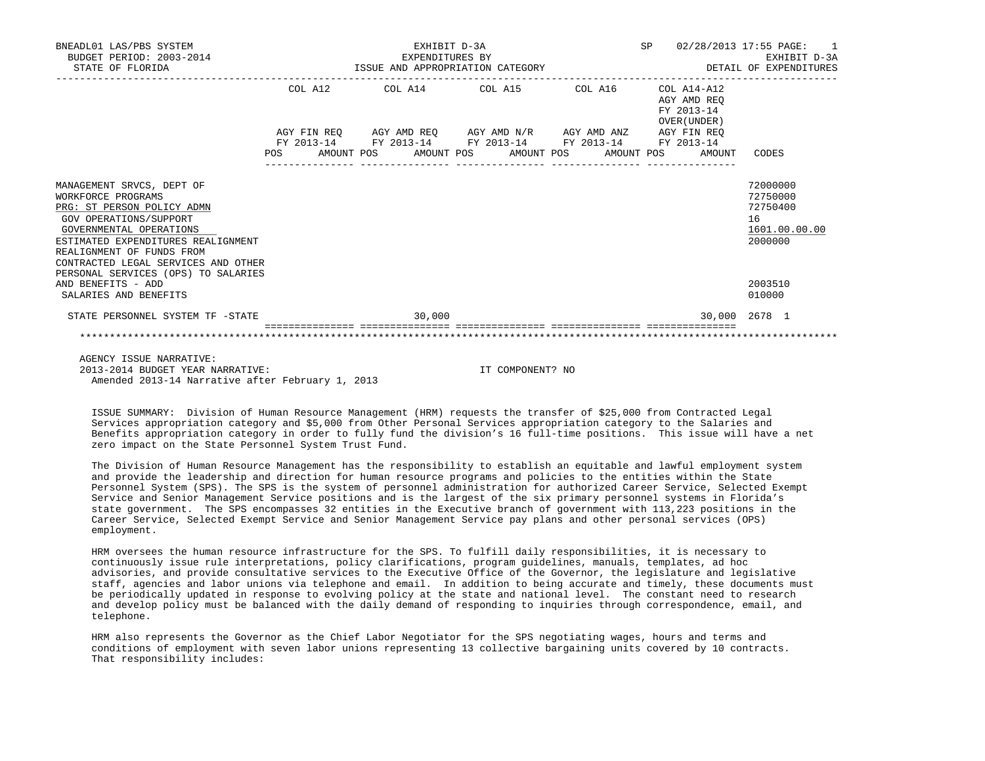| BNEADL01 LAS/PBS SYSTEM<br>BUDGET PERIOD: 2003-2014<br>STATE OF FLORIDA                                                                                                                                                                      | EXHIBIT D-3A<br>SP<br>EXPENDITURES BY<br>ISSUE AND APPROPRIATION CATEGORY |                                                                                                                                     |  |        |  |                         |  |  |            |                                                          | 02/28/2013 17:55 PAGE: 1<br>EXHIBIT D-3A<br>DETAIL OF EXPENDITURES |
|----------------------------------------------------------------------------------------------------------------------------------------------------------------------------------------------------------------------------------------------|---------------------------------------------------------------------------|-------------------------------------------------------------------------------------------------------------------------------------|--|--------|--|-------------------------|--|--|------------|----------------------------------------------------------|--------------------------------------------------------------------|
|                                                                                                                                                                                                                                              | COL A12                                                                   |                                                                                                                                     |  |        |  | COL A14 COL A15 COL A16 |  |  |            | COL A14-A12<br>AGY AMD REO<br>FY 2013-14<br>OVER (UNDER) |                                                                    |
|                                                                                                                                                                                                                                              | POS                                                                       | AGY FIN REQ AGY AMD REQ AGY AMD N/R AGY AMD ANZ AGY FIN REQ<br>FY 2013-14 FY 2013-14 FY 2013-14 FY 2013-14 FY 2013-14<br>AMOUNT POS |  |        |  | AMOUNT POS AMOUNT POS   |  |  | AMOUNT POS | AMOUNT                                                   | CODES                                                              |
| MANAGEMENT SRVCS, DEPT OF<br>WORKFORCE PROGRAMS<br>PRG: ST PERSON POLICY ADMN<br>GOV OPERATIONS/SUPPORT<br>GOVERNMENTAL OPERATIONS<br>ESTIMATED EXPENDITURES REALIGNMENT<br>REALIGNMENT OF FUNDS FROM<br>CONTRACTED LEGAL SERVICES AND OTHER |                                                                           |                                                                                                                                     |  |        |  |                         |  |  |            |                                                          | 72000000<br>72750000<br>72750400<br>16<br>1601.00.00.00<br>2000000 |
| PERSONAL SERVICES (OPS) TO SALARIES<br>AND BENEFITS - ADD<br>SALARIES AND BENEFITS                                                                                                                                                           |                                                                           |                                                                                                                                     |  |        |  |                         |  |  |            |                                                          | 2003510<br>010000                                                  |
| STATE PERSONNEL SYSTEM TF -STATE                                                                                                                                                                                                             |                                                                           |                                                                                                                                     |  | 30,000 |  |                         |  |  |            |                                                          | 30,000 2678 1                                                      |
|                                                                                                                                                                                                                                              |                                                                           |                                                                                                                                     |  |        |  |                         |  |  |            |                                                          |                                                                    |

 AGENCY ISSUE NARRATIVE: 2013-2014 BUDGET YEAR NARRATIVE: IT COMPONENT? NO Amended 2013-14 Narrative after February 1, 2013

 ISSUE SUMMARY: Division of Human Resource Management (HRM) requests the transfer of \$25,000 from Contracted Legal Services appropriation category and \$5,000 from Other Personal Services appropriation category to the Salaries and Benefits appropriation category in order to fully fund the division's 16 full-time positions. This issue will have a net zero impact on the State Personnel System Trust Fund.

 The Division of Human Resource Management has the responsibility to establish an equitable and lawful employment system and provide the leadership and direction for human resource programs and policies to the entities within the State Personnel System (SPS). The SPS is the system of personnel administration for authorized Career Service, Selected Exempt Service and Senior Management Service positions and is the largest of the six primary personnel systems in Florida's state government. The SPS encompasses 32 entities in the Executive branch of government with 113,223 positions in the Career Service, Selected Exempt Service and Senior Management Service pay plans and other personal services (OPS) employment.

 HRM oversees the human resource infrastructure for the SPS. To fulfill daily responsibilities, it is necessary to continuously issue rule interpretations, policy clarifications, program guidelines, manuals, templates, ad hoc advisories, and provide consultative services to the Executive Office of the Governor, the legislature and legislative staff, agencies and labor unions via telephone and email. In addition to being accurate and timely, these documents must be periodically updated in response to evolving policy at the state and national level. The constant need to research and develop policy must be balanced with the daily demand of responding to inquiries through correspondence, email, and telephone.

 HRM also represents the Governor as the Chief Labor Negotiator for the SPS negotiating wages, hours and terms and conditions of employment with seven labor unions representing 13 collective bargaining units covered by 10 contracts. That responsibility includes: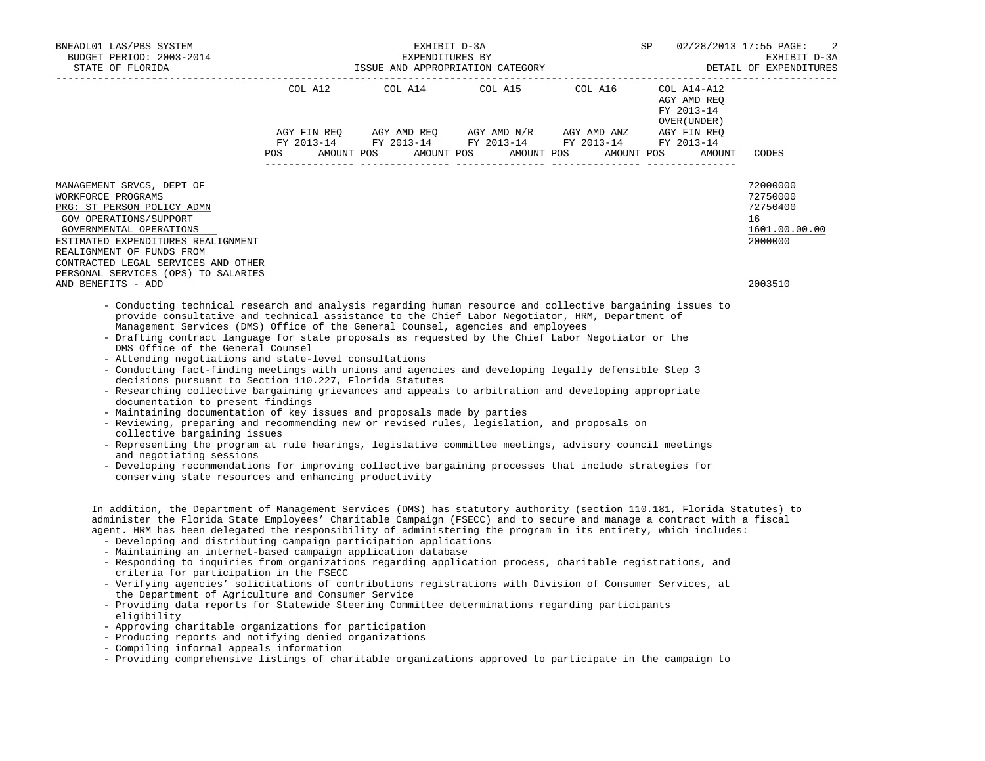| BNEADL01 LAS/PBS SYSTEM<br>BUDGET PERIOD: 2003-2014<br>ISSUE AND APPROPRIATION CATEGORY<br>STATE OF FLORIDA                                                                                                                                                                                                                                                                                                                                |                                               |  | SP                                                                                             | 02/28/2013 17:55 PAGE: 2<br>EXHIBIT D-3A<br>DETAIL OF EXPENDITURES |                                                          |                                                                    |
|--------------------------------------------------------------------------------------------------------------------------------------------------------------------------------------------------------------------------------------------------------------------------------------------------------------------------------------------------------------------------------------------------------------------------------------------|-----------------------------------------------|--|------------------------------------------------------------------------------------------------|--------------------------------------------------------------------|----------------------------------------------------------|--------------------------------------------------------------------|
|                                                                                                                                                                                                                                                                                                                                                                                                                                            |                                               |  | COL A12 COL A14 COL A15 COL A16<br>AGY FIN REQ AGY AMD REQ AGY AMD N/R AGY AMD ANZ AGY FIN REQ |                                                                    | COL A14-A12<br>AGY AMD REO<br>FY 2013-14<br>OVER (UNDER) |                                                                    |
|                                                                                                                                                                                                                                                                                                                                                                                                                                            |                                               |  | FY 2013-14 FY 2013-14 FY 2013-14 FY 2013-14                                                    |                                                                    | FY 2013-14                                               |                                                                    |
|                                                                                                                                                                                                                                                                                                                                                                                                                                            | <b>POS</b><br>--------------- --------------- |  | AMOUNT POS AMOUNT POS AMOUNT POS AMOUNT POS                                                    |                                                                    | AMOUNT                                                   | CODES                                                              |
| MANAGEMENT SRVCS, DEPT OF<br>WORKFORCE PROGRAMS<br>PRG: ST PERSON POLICY ADMN<br>GOV OPERATIONS/SUPPORT<br>GOVERNMENTAL OPERATIONS<br>ESTIMATED EXPENDITURES REALIGNMENT<br>REALIGNMENT OF FUNDS FROM<br>CONTRACTED LEGAL SERVICES AND OTHER<br>PERSONAL SERVICES (OPS) TO SALARIES                                                                                                                                                        |                                               |  |                                                                                                |                                                                    |                                                          | 72000000<br>72750000<br>72750400<br>16<br>1601.00.00.00<br>2000000 |
| AND BENEFITS - ADD                                                                                                                                                                                                                                                                                                                                                                                                                         |                                               |  |                                                                                                |                                                                    |                                                          | 2003510                                                            |
| - Conducting technical research and analysis regarding human resource and collective bargaining issues to<br>provide consultative and technical assistance to the Chief Labor Negotiator, HRM, Department of<br>Management Services (DMS) Office of the General Counsel, agencies and employees<br>- Drafting contract language for state proposals as requested by the Chief Labor Negotiator or the<br>DMS Office of the General Counsel |                                               |  |                                                                                                |                                                                    |                                                          |                                                                    |

- Attending negotiations and state-level consultations
- Conducting fact-finding meetings with unions and agencies and developing legally defensible Step 3 decisions pursuant to Section 110.227, Florida Statutes
- Researching collective bargaining grievances and appeals to arbitration and developing appropriate documentation to present findings
- Maintaining documentation of key issues and proposals made by parties
- Reviewing, preparing and recommending new or revised rules, legislation, and proposals on collective bargaining issues
- Representing the program at rule hearings, legislative committee meetings, advisory council meetings and negotiating sessions
- Developing recommendations for improving collective bargaining processes that include strategies for conserving state resources and enhancing productivity

 In addition, the Department of Management Services (DMS) has statutory authority (section 110.181, Florida Statutes) to administer the Florida State Employees' Charitable Campaign (FSECC) and to secure and manage a contract with a fiscal agent. HRM has been delegated the responsibility of administering the program in its entirety, which includes:

- Developing and distributing campaign participation applications
- Maintaining an internet-based campaign application database
- Responding to inquiries from organizations regarding application process, charitable registrations, and criteria for participation in the FSECC
- Verifying agencies' solicitations of contributions registrations with Division of Consumer Services, at the Department of Agriculture and Consumer Service
- Providing data reports for Statewide Steering Committee determinations regarding participants eligibility
- Approving charitable organizations for participation
- Producing reports and notifying denied organizations
- Compiling informal appeals information
- Providing comprehensive listings of charitable organizations approved to participate in the campaign to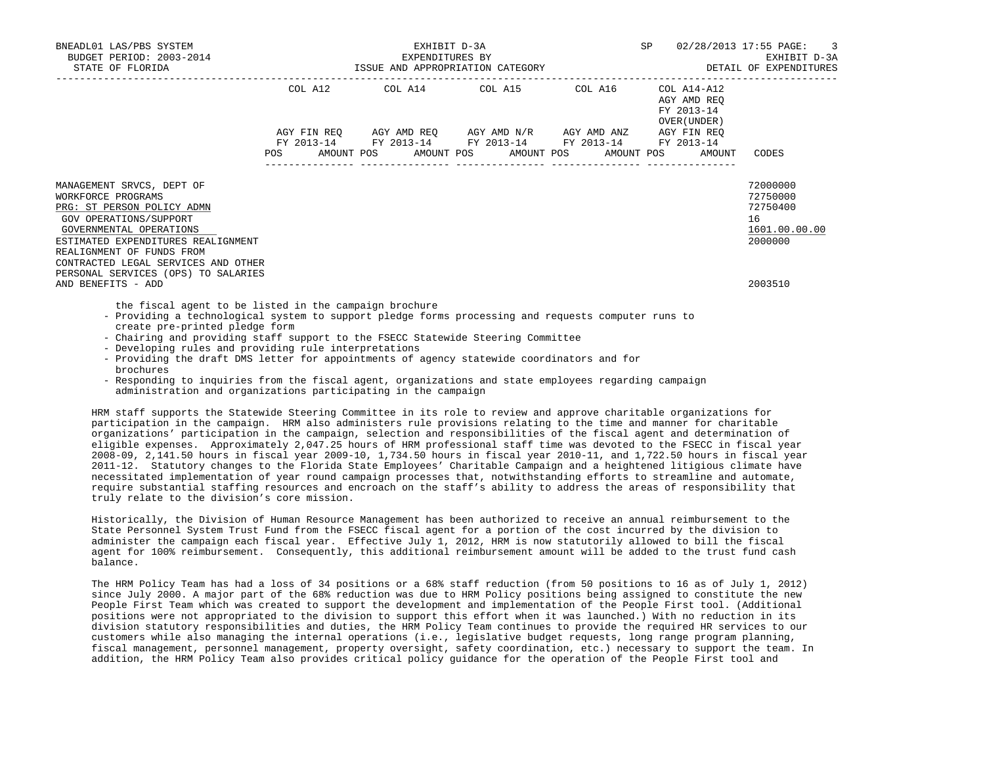| BNEADL01 LAS/PBS SYSTEM<br>BUDGET PERIOD: 2003-2014<br>STATE OF FLORIDA                                  | EXHIBIT D-3A<br>EXPENDITURES BY |  |  |  |  |                                                                                                                  |  |  |                                                          | SP 02/28/2013 17:55 PAGE: 3<br>EXHIBIT D-3A |
|----------------------------------------------------------------------------------------------------------|---------------------------------|--|--|--|--|------------------------------------------------------------------------------------------------------------------|--|--|----------------------------------------------------------|---------------------------------------------|
|                                                                                                          |                                 |  |  |  |  | COL A12 COL A14 COL A15 COL A16                                                                                  |  |  | COL A14-A12<br>AGY AMD REO<br>FY 2013-14<br>OVER (UNDER) |                                             |
|                                                                                                          |                                 |  |  |  |  | AGY FIN REQ AGY AMD REQ AGY AMD N/R AGY AMD ANZ AGY FIN REQ                                                      |  |  |                                                          |                                             |
|                                                                                                          |                                 |  |  |  |  | FY 2013-14 FY 2013-14 FY 2013-14 FY 2013-14 FY 2013-14<br>POS AMOUNT POS AMOUNT POS AMOUNT POS AMOUNT POS AMOUNT |  |  |                                                          | CODES                                       |
| MANAGEMENT SRVCS, DEPT OF<br>WORKFORCE PROGRAMS                                                          |                                 |  |  |  |  |                                                                                                                  |  |  |                                                          | 72000000<br>72750000                        |
| PRG: ST PERSON POLICY ADMN                                                                               |                                 |  |  |  |  |                                                                                                                  |  |  |                                                          | 72750400                                    |
| GOV OPERATIONS/SUPPORT                                                                                   |                                 |  |  |  |  |                                                                                                                  |  |  |                                                          | 16                                          |
| GOVERNMENTAL OPERATIONS                                                                                  |                                 |  |  |  |  |                                                                                                                  |  |  |                                                          | 1601.00.00.00                               |
| ESTIMATED EXPENDITURES REALIGNMENT                                                                       |                                 |  |  |  |  |                                                                                                                  |  |  |                                                          | 2000000                                     |
| REALIGNMENT OF FUNDS FROM                                                                                |                                 |  |  |  |  |                                                                                                                  |  |  |                                                          |                                             |
| CONTRACTED LEGAL SERVICES AND OTHER                                                                      |                                 |  |  |  |  |                                                                                                                  |  |  |                                                          |                                             |
| PERSONAL SERVICES (OPS) TO SALARIES                                                                      |                                 |  |  |  |  |                                                                                                                  |  |  |                                                          |                                             |
| AND BENEFITS - ADD                                                                                       |                                 |  |  |  |  |                                                                                                                  |  |  |                                                          | 2003510                                     |
| the fiscal agent to be listed in the campaign brochure                                                   |                                 |  |  |  |  |                                                                                                                  |  |  |                                                          |                                             |
| $\sim$ Droviding a toghnological quatom to qupport plodge forma progosaing and requests gemputer runs to |                                 |  |  |  |  |                                                                                                                  |  |  |                                                          |                                             |

- Providing a technological system to support pledge forms processing and requests computer runs to create pre-printed pledge form
- Chairing and providing staff support to the FSECC Statewide Steering Committee
- Developing rules and providing rule interpretations
- Providing the draft DMS letter for appointments of agency statewide coordinators and for brochures
- Responding to inquiries from the fiscal agent, organizations and state employees regarding campaign administration and organizations participating in the campaign

 HRM staff supports the Statewide Steering Committee in its role to review and approve charitable organizations for participation in the campaign. HRM also administers rule provisions relating to the time and manner for charitable organizations' participation in the campaign, selection and responsibilities of the fiscal agent and determination of eligible expenses. Approximately 2,047.25 hours of HRM professional staff time was devoted to the FSECC in fiscal year 2008-09, 2,141.50 hours in fiscal year 2009-10, 1,734.50 hours in fiscal year 2010-11, and 1,722.50 hours in fiscal year 2011-12. Statutory changes to the Florida State Employees' Charitable Campaign and a heightened litigious climate have necessitated implementation of year round campaign processes that, notwithstanding efforts to streamline and automate, require substantial staffing resources and encroach on the staff's ability to address the areas of responsibility that truly relate to the division's core mission.

 Historically, the Division of Human Resource Management has been authorized to receive an annual reimbursement to the State Personnel System Trust Fund from the FSECC fiscal agent for a portion of the cost incurred by the division to administer the campaign each fiscal year. Effective July 1, 2012, HRM is now statutorily allowed to bill the fiscal agent for 100% reimbursement. Consequently, this additional reimbursement amount will be added to the trust fund cash balance.

 The HRM Policy Team has had a loss of 34 positions or a 68% staff reduction (from 50 positions to 16 as of July 1, 2012) since July 2000. A major part of the 68% reduction was due to HRM Policy positions being assigned to constitute the new People First Team which was created to support the development and implementation of the People First tool. (Additional positions were not appropriated to the division to support this effort when it was launched.) With no reduction in its division statutory responsibilities and duties, the HRM Policy Team continues to provide the required HR services to our customers while also managing the internal operations (i.e., legislative budget requests, long range program planning, fiscal management, personnel management, property oversight, safety coordination, etc.) necessary to support the team. In addition, the HRM Policy Team also provides critical policy guidance for the operation of the People First tool and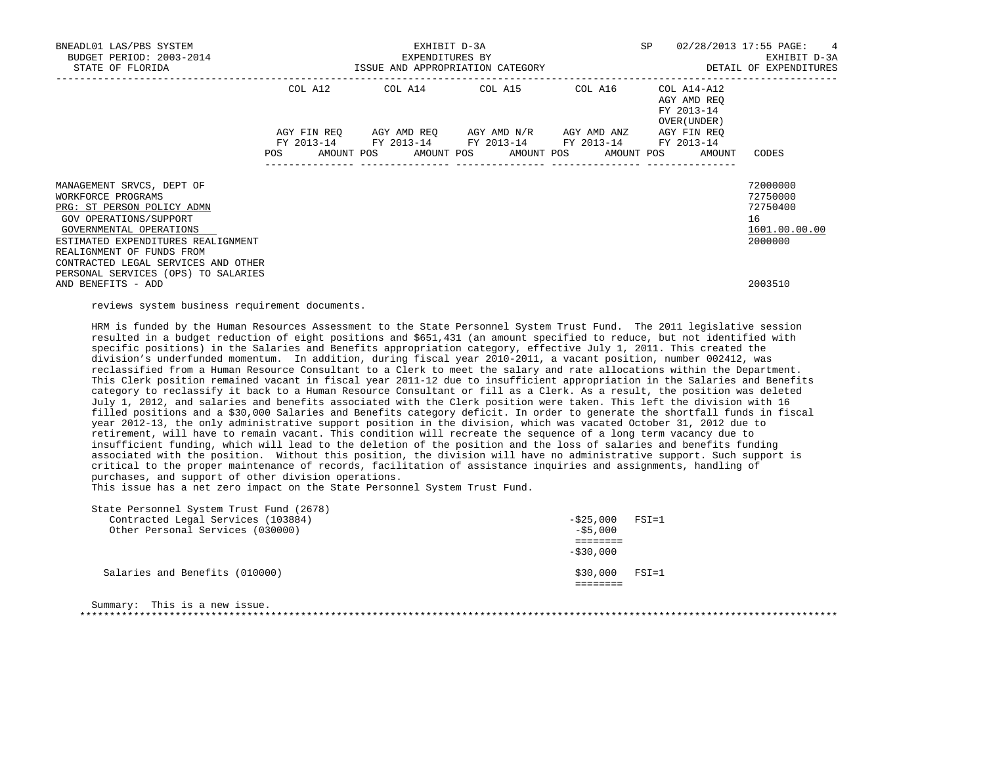| BNEADL01 LAS/PBS SYSTEM<br>BUDGET PERIOD: 2003-2014<br>STATE OF FLORIDA                                 | SP<br>EXHIBIT D-3A<br>EXPENDITURES BY<br>ISSUE AND APPROPRIATION CATEGORY |                                 |  |  |  |  |  |                                                                                                                                               |  |                                                                   | 02/28/2013 17:55 PAGE: 4<br>EXHIBIT D-3A<br>DETAIL OF EXPENDITURES |  |
|---------------------------------------------------------------------------------------------------------|---------------------------------------------------------------------------|---------------------------------|--|--|--|--|--|-----------------------------------------------------------------------------------------------------------------------------------------------|--|-------------------------------------------------------------------|--------------------------------------------------------------------|--|
|                                                                                                         |                                                                           | COL A12 COL A14 COL A15 COL A16 |  |  |  |  |  |                                                                                                                                               |  | COL A14-A12<br>AGY AMD REO                                        |                                                                    |  |
|                                                                                                         | POS DO                                                                    |                                 |  |  |  |  |  | AGY FIN REO AGY AMD REO AGY AMD N/R AGY AMD ANZ<br>FY 2013-14 FY 2013-14 FY 2013-14 FY 2013-14<br>AMOUNT POS AMOUNT POS AMOUNT POS AMOUNT POS |  | FY 2013-14<br>OVER (UNDER)<br>AGY FIN REO<br>FY 2013-14<br>AMOUNT | CODES                                                              |  |
| MANAGEMENT SRVCS, DEPT OF<br>WORKFORCE PROGRAMS<br>PRG: ST PERSON POLICY ADMN                           |                                                                           |                                 |  |  |  |  |  |                                                                                                                                               |  |                                                                   | 72000000<br>72750000<br>72750400                                   |  |
| GOV OPERATIONS/SUPPORT<br>GOVERNMENTAL OPERATIONS<br>ESTIMATED EXPENDITURES REALIGNMENT                 |                                                                           |                                 |  |  |  |  |  |                                                                                                                                               |  |                                                                   | 16<br>1601.00.00.00<br>2000000                                     |  |
| REALIGNMENT OF FUNDS FROM<br>CONTRACTED LEGAL SERVICES AND OTHER<br>PERSONAL SERVICES (OPS) TO SALARIES |                                                                           |                                 |  |  |  |  |  |                                                                                                                                               |  |                                                                   |                                                                    |  |
| AND BENEFITS - ADD                                                                                      |                                                                           |                                 |  |  |  |  |  |                                                                                                                                               |  |                                                                   | 2003510                                                            |  |

reviews system business requirement documents.

 HRM is funded by the Human Resources Assessment to the State Personnel System Trust Fund. The 2011 legislative session resulted in a budget reduction of eight positions and \$651,431 (an amount specified to reduce, but not identified with specific positions) in the Salaries and Benefits appropriation category, effective July 1, 2011. This created the division's underfunded momentum. In addition, during fiscal year 2010-2011, a vacant position, number 002412, was reclassified from a Human Resource Consultant to a Clerk to meet the salary and rate allocations within the Department. This Clerk position remained vacant in fiscal year 2011-12 due to insufficient appropriation in the Salaries and Benefits category to reclassify it back to a Human Resource Consultant or fill as a Clerk. As a result, the position was deleted July 1, 2012, and salaries and benefits associated with the Clerk position were taken. This left the division with 16 filled positions and a \$30,000 Salaries and Benefits category deficit. In order to generate the shortfall funds in fiscal year 2012-13, the only administrative support position in the division, which was vacated October 31, 2012 due to retirement, will have to remain vacant. This condition will recreate the sequence of a long term vacancy due to insufficient funding, which will lead to the deletion of the position and the loss of salaries and benefits funding associated with the position. Without this position, the division will have no administrative support. Such support is critical to the proper maintenance of records, facilitation of assistance inquiries and assignments, handling of purchases, and support of other division operations.

This issue has a net zero impact on the State Personnel System Trust Fund.

| State Personnel System Trust Fund (2678) |                   |
|------------------------------------------|-------------------|
| Contracted Legal Services (103884)       | $-525,000$ FSI=1  |
| Other Personal Services (030000)         | $-55,000$         |
|                                          |                   |
|                                          | $-530,000$        |
|                                          |                   |
| Salaries and Benefits (010000)           | \$30,000<br>FSI=1 |
|                                          |                   |
|                                          |                   |

| Summary' | This is a new issue. |  |  |  |  |  |
|----------|----------------------|--|--|--|--|--|
|          |                      |  |  |  |  |  |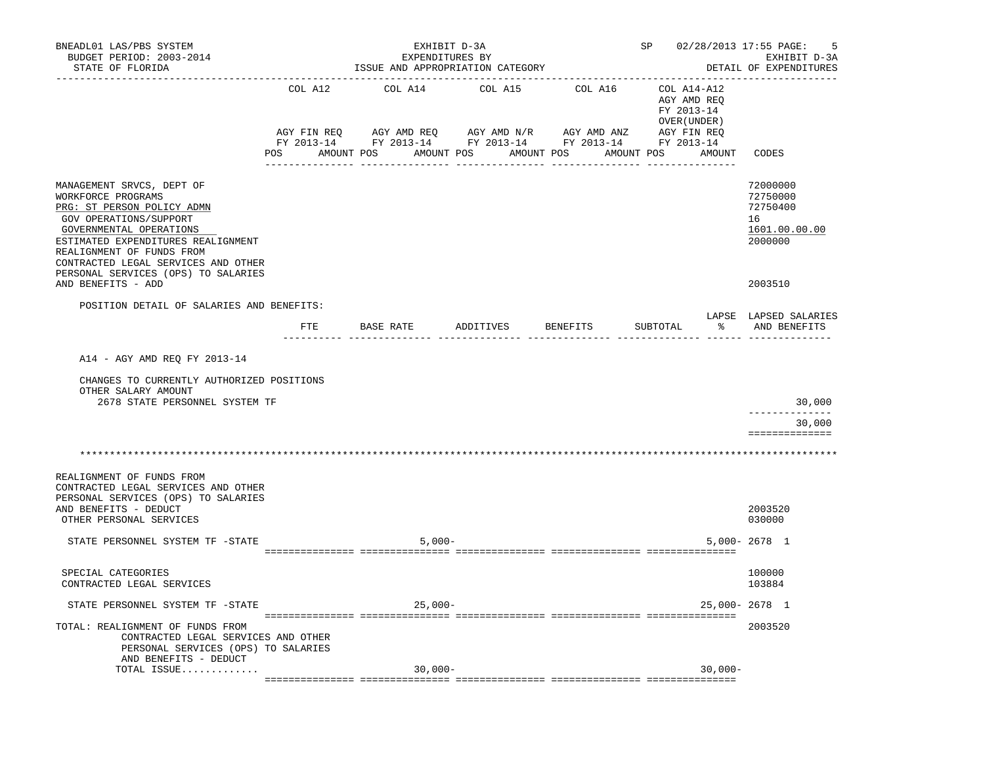| BNEADL01 LAS/PBS SYSTEM<br>BUDGET PERIOD: 2003-2014<br>STATE OF FLORIDA                                                                                                                                                                                                             |              | EXHIBIT D-3A<br>EXPENDITURES BY<br>ISSUE AND APPROPRIATION CATEGORY |         | SP 02/28/2013 17:55 PAGE:                                                                                                                                                                                                                                                | -5<br>EXHIBIT D-3A<br>DETAIL OF EXPENDITURES             |                                                                    |
|-------------------------------------------------------------------------------------------------------------------------------------------------------------------------------------------------------------------------------------------------------------------------------------|--------------|---------------------------------------------------------------------|---------|--------------------------------------------------------------------------------------------------------------------------------------------------------------------------------------------------------------------------------------------------------------------------|----------------------------------------------------------|--------------------------------------------------------------------|
|                                                                                                                                                                                                                                                                                     | COL A12      | COL A14                                                             | COL A15 | COL A16<br>$AGY\text{ }\text{FIN }REQ \qquad \text{AGY} \text{ }\text{AMD } REQ \qquad \text{AGY} \text{ }\text{AMD } N/R \qquad \text{AGY} \text{ }\text{AMD } ANZ \qquad \text{AGY} \text{ }\text{FIN } REQ$<br>FY 2013-14 FY 2013-14 FY 2013-14 FY 2013-14 FY 2013-14 | COL A14-A12<br>AGY AMD REO<br>FY 2013-14<br>OVER (UNDER) |                                                                    |
|                                                                                                                                                                                                                                                                                     |              | POS AMOUNT POS AMOUNT POS AMOUNT POS                                |         |                                                                                                                                                                                                                                                                          | AMOUNT POS AMOUNT                                        | CODES                                                              |
| MANAGEMENT SRVCS, DEPT OF<br>WORKFORCE PROGRAMS<br>PRG: ST PERSON POLICY ADMN<br>GOV OPERATIONS/SUPPORT<br>GOVERNMENTAL OPERATIONS<br>ESTIMATED EXPENDITURES REALIGNMENT<br>REALIGNMENT OF FUNDS FROM<br>CONTRACTED LEGAL SERVICES AND OTHER<br>PERSONAL SERVICES (OPS) TO SALARIES |              |                                                                     |         |                                                                                                                                                                                                                                                                          |                                                          | 72000000<br>72750000<br>72750400<br>16<br>1601.00.00.00<br>2000000 |
| AND BENEFITS - ADD                                                                                                                                                                                                                                                                  |              |                                                                     |         |                                                                                                                                                                                                                                                                          |                                                          | 2003510                                                            |
| POSITION DETAIL OF SALARIES AND BENEFITS:                                                                                                                                                                                                                                           | $_{\rm FTE}$ | BASE RATE                                                           |         | ADDITIVES BENEFITS SUBTOTAL                                                                                                                                                                                                                                              |                                                          | LAPSE LAPSED SALARIES<br>% AND BENEFITS                            |
| A14 - AGY AMD REQ FY 2013-14<br>CHANGES TO CURRENTLY AUTHORIZED POSITIONS<br>OTHER SALARY AMOUNT<br>2678 STATE PERSONNEL SYSTEM TF                                                                                                                                                  |              |                                                                     |         |                                                                                                                                                                                                                                                                          |                                                          | 30,000                                                             |
|                                                                                                                                                                                                                                                                                     |              |                                                                     |         |                                                                                                                                                                                                                                                                          |                                                          | 30,000<br>==============                                           |
|                                                                                                                                                                                                                                                                                     |              |                                                                     |         |                                                                                                                                                                                                                                                                          |                                                          |                                                                    |
| REALIGNMENT OF FUNDS FROM<br>CONTRACTED LEGAL SERVICES AND OTHER<br>PERSONAL SERVICES (OPS) TO SALARIES<br>AND BENEFITS - DEDUCT<br>OTHER PERSONAL SERVICES                                                                                                                         |              |                                                                     |         |                                                                                                                                                                                                                                                                          |                                                          | 2003520<br>030000                                                  |
| STATE PERSONNEL SYSTEM TF -STATE                                                                                                                                                                                                                                                    |              | $5,000-$                                                            |         |                                                                                                                                                                                                                                                                          |                                                          | $5.000 - 2678$ 1                                                   |
| SPECIAL CATEGORIES<br>CONTRACTED LEGAL SERVICES                                                                                                                                                                                                                                     |              |                                                                     |         |                                                                                                                                                                                                                                                                          |                                                          | 100000<br>103884                                                   |
| STATE PERSONNEL SYSTEM TF -STATE                                                                                                                                                                                                                                                    |              | $25,000-$                                                           |         |                                                                                                                                                                                                                                                                          |                                                          | 25,000-2678 1                                                      |
| TOTAL: REALIGNMENT OF FUNDS FROM<br>CONTRACTED LEGAL SERVICES AND OTHER<br>PERSONAL SERVICES (OPS) TO SALARIES<br>AND BENEFITS - DEDUCT                                                                                                                                             |              |                                                                     |         |                                                                                                                                                                                                                                                                          |                                                          | 2003520                                                            |
| TOTAL ISSUE                                                                                                                                                                                                                                                                         |              | $30,000-$                                                           |         |                                                                                                                                                                                                                                                                          | $30,000 -$                                               |                                                                    |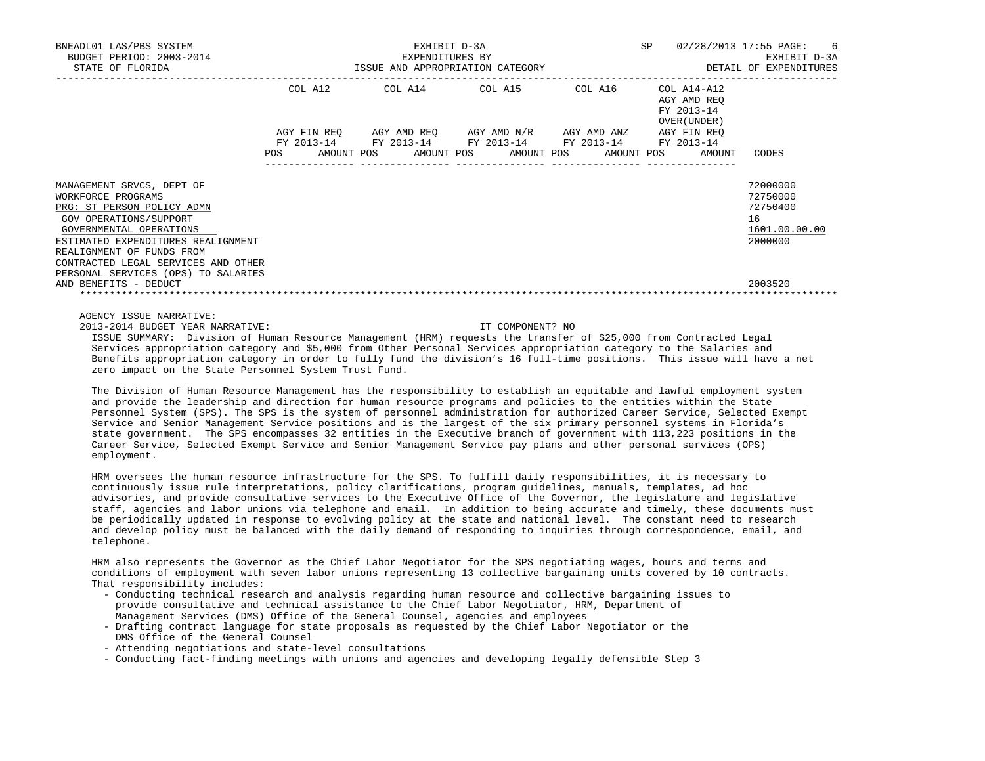| BNEADL01 LAS/PBS SYSTEM<br>BUDGET PERIOD: 2003-2014<br>STATE OF FLORIDA | EXHIBIT D-3A<br>EXPENDITURES BY                                                                                        | SP 02/28/2013 17:55 PAGE: 6 | EXHIBIT D-3A                                             |               |
|-------------------------------------------------------------------------|------------------------------------------------------------------------------------------------------------------------|-----------------------------|----------------------------------------------------------|---------------|
|                                                                         | COL A12 COL A14 COL A15 COL A16                                                                                        |                             | COL A14-A12<br>AGY AMD REO<br>FY 2013-14<br>OVER (UNDER) |               |
|                                                                         | AGY FIN REQ AGY AMD REQ AGY AMD N/R AGY AMD ANZ AGY FIN REQ                                                            |                             |                                                          |               |
|                                                                         | FY 2013-14 FY 2013-14 FY 2013-14 FY 2013-14 FY 2013-14<br>POS AMOUNT POS AMOUNT POS AMOUNT POS AMOUNT POS AMOUNT CODES |                             |                                                          |               |
| MANAGEMENT SRVCS, DEPT OF                                               |                                                                                                                        |                             |                                                          | 72000000      |
| WORKFORCE PROGRAMS                                                      |                                                                                                                        |                             |                                                          | 72750000      |
| PRG: ST PERSON POLICY ADMN                                              |                                                                                                                        |                             |                                                          | 72750400      |
| GOV OPERATIONS/SUPPORT                                                  |                                                                                                                        |                             |                                                          | 16            |
| GOVERNMENTAL OPERATIONS                                                 |                                                                                                                        |                             |                                                          | 1601.00.00.00 |
| ESTIMATED EXPENDITURES REALIGNMENT                                      |                                                                                                                        |                             |                                                          | 2000000       |
| REALIGNMENT OF FUNDS FROM<br>CONTRACTED LEGAL SERVICES AND OTHER        |                                                                                                                        |                             |                                                          |               |
| PERSONAL SERVICES (OPS) TO SALARIES                                     |                                                                                                                        |                             |                                                          |               |
| AND BENEFITS - DEDUCT                                                   |                                                                                                                        |                             |                                                          | 2003520       |
|                                                                         |                                                                                                                        |                             |                                                          |               |
|                                                                         |                                                                                                                        |                             |                                                          |               |

AGENCY ISSUE NARRATIVE:

2013-2014 BUDGET YEAR NARRATIVE: IT COMPONENT? NO

 ISSUE SUMMARY: Division of Human Resource Management (HRM) requests the transfer of \$25,000 from Contracted Legal Services appropriation category and \$5,000 from Other Personal Services appropriation category to the Salaries and Benefits appropriation category in order to fully fund the division's 16 full-time positions. This issue will have a net zero impact on the State Personnel System Trust Fund.

 The Division of Human Resource Management has the responsibility to establish an equitable and lawful employment system and provide the leadership and direction for human resource programs and policies to the entities within the State Personnel System (SPS). The SPS is the system of personnel administration for authorized Career Service, Selected Exempt Service and Senior Management Service positions and is the largest of the six primary personnel systems in Florida's state government. The SPS encompasses 32 entities in the Executive branch of government with 113,223 positions in the Career Service, Selected Exempt Service and Senior Management Service pay plans and other personal services (OPS) employment.

 HRM oversees the human resource infrastructure for the SPS. To fulfill daily responsibilities, it is necessary to continuously issue rule interpretations, policy clarifications, program guidelines, manuals, templates, ad hoc advisories, and provide consultative services to the Executive Office of the Governor, the legislature and legislative staff, agencies and labor unions via telephone and email. In addition to being accurate and timely, these documents must be periodically updated in response to evolving policy at the state and national level. The constant need to research and develop policy must be balanced with the daily demand of responding to inquiries through correspondence, email, and telephone.

 HRM also represents the Governor as the Chief Labor Negotiator for the SPS negotiating wages, hours and terms and conditions of employment with seven labor unions representing 13 collective bargaining units covered by 10 contracts. That responsibility includes:

- Conducting technical research and analysis regarding human resource and collective bargaining issues to provide consultative and technical assistance to the Chief Labor Negotiator, HRM, Department of Management Services (DMS) Office of the General Counsel, agencies and employees
- Drafting contract language for state proposals as requested by the Chief Labor Negotiator or the DMS Office of the General Counsel
- Attending negotiations and state-level consultations
- Conducting fact-finding meetings with unions and agencies and developing legally defensible Step 3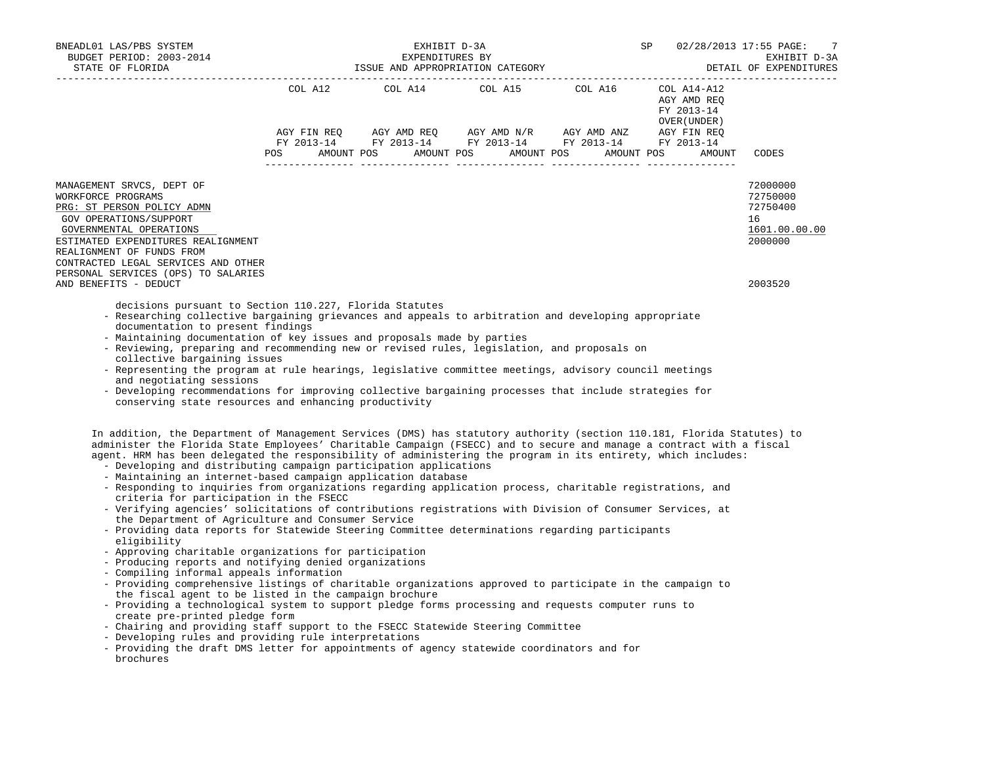| BNEADL01 LAS/PBS SYSTEM<br>BUDGET PERIOD: 2003-2014<br>STATE OF FLORIDA                                                                                                                                                                                                                                                                                                                                                                                                                                                                                                                                                                                                                                                                                                                                                                                                                                                                                                                                         |     | EXHIBIT D-3A<br>EXPENDITURES BY<br>ISSUE AND APPROPRIATION CATEGORY                                                                                                                              | <b>SP</b>  | 02/28/2013 17:55 PAGE:<br>7<br>EXHIBIT D-3A<br>DETAIL OF EXPENDITURES<br>_______________ |                                                                    |
|-----------------------------------------------------------------------------------------------------------------------------------------------------------------------------------------------------------------------------------------------------------------------------------------------------------------------------------------------------------------------------------------------------------------------------------------------------------------------------------------------------------------------------------------------------------------------------------------------------------------------------------------------------------------------------------------------------------------------------------------------------------------------------------------------------------------------------------------------------------------------------------------------------------------------------------------------------------------------------------------------------------------|-----|--------------------------------------------------------------------------------------------------------------------------------------------------------------------------------------------------|------------|------------------------------------------------------------------------------------------|--------------------------------------------------------------------|
|                                                                                                                                                                                                                                                                                                                                                                                                                                                                                                                                                                                                                                                                                                                                                                                                                                                                                                                                                                                                                 | POS | $\begin{tabular}{lllllllllll} \multicolumn{2}{l}{{\text{COL A14}} } & \multicolumn{2}{c}{\text{COL A15}} & \multicolumn{2}{c}{\text{COL A16}} \end{tabular}$<br>AMOUNT POS AMOUNT POS AMOUNT POS | AMOUNT POS | COL A14-A12<br>AGY AMD REQ<br>FY 2013-14<br>OVER ( UNDER )<br>AMOUNT                     | CODES                                                              |
| MANAGEMENT SRVCS, DEPT OF<br>WORKFORCE PROGRAMS<br>PRG: ST PERSON POLICY ADMN<br>GOV OPERATIONS/SUPPORT<br>GOVERNMENTAL OPERATIONS<br>ESTIMATED EXPENDITURES REALIGNMENT<br>REALIGNMENT OF FUNDS FROM<br>CONTRACTED LEGAL SERVICES AND OTHER                                                                                                                                                                                                                                                                                                                                                                                                                                                                                                                                                                                                                                                                                                                                                                    |     |                                                                                                                                                                                                  |            |                                                                                          | 72000000<br>72750000<br>72750400<br>16<br>1601.00.00.00<br>2000000 |
| PERSONAL SERVICES (OPS) TO SALARIES<br>AND BENEFITS - DEDUCT                                                                                                                                                                                                                                                                                                                                                                                                                                                                                                                                                                                                                                                                                                                                                                                                                                                                                                                                                    |     |                                                                                                                                                                                                  |            |                                                                                          | 2003520                                                            |
| decisions pursuant to Section 110.227, Florida Statutes<br>- Researching collective bargaining grievances and appeals to arbitration and developing appropriate<br>documentation to present findings<br>- Maintaining documentation of key issues and proposals made by parties<br>- Reviewing, preparing and recommending new or revised rules, legislation, and proposals on<br>collective bargaining issues<br>- Representing the program at rule hearings, legislative committee meetings, advisory council meetings<br>and negotiating sessions<br>- Developing recommendations for improving collective bargaining processes that include strategies for<br>conserving state resources and enhancing productivity                                                                                                                                                                                                                                                                                         |     |                                                                                                                                                                                                  |            |                                                                                          |                                                                    |
| In addition, the Department of Management Services (DMS) has statutory authority (section 110.181, Florida Statutes) to<br>administer the Florida State Employees' Charitable Campaign (FSECC) and to secure and manage a contract with a fiscal<br>agent. HRM has been delegated the responsibility of administering the program in its entirety, which includes:<br>- Developing and distributing campaign participation applications<br>- Maintaining an internet-based campaign application database<br>- Responding to inquiries from organizations regarding application process, charitable registrations, and<br>criteria for participation in the FSECC<br>- Verifying agencies' solicitations of contributions registrations with Division of Consumer Services, at<br>the Department of Agriculture and Consumer Service<br>- Providing data reports for Statewide Steering Committee determinations regarding participants<br>eligibility<br>- Approving charitable organizations for participation |     |                                                                                                                                                                                                  |            |                                                                                          |                                                                    |

- Producing reports and notifying denied organizations
- Compiling informal appeals information
- Providing comprehensive listings of charitable organizations approved to participate in the campaign to the fiscal agent to be listed in the campaign brochure
- Providing a technological system to support pledge forms processing and requests computer runs to create pre-printed pledge form
- Chairing and providing staff support to the FSECC Statewide Steering Committee
- Developing rules and providing rule interpretations
- Providing the draft DMS letter for appointments of agency statewide coordinators and for brochures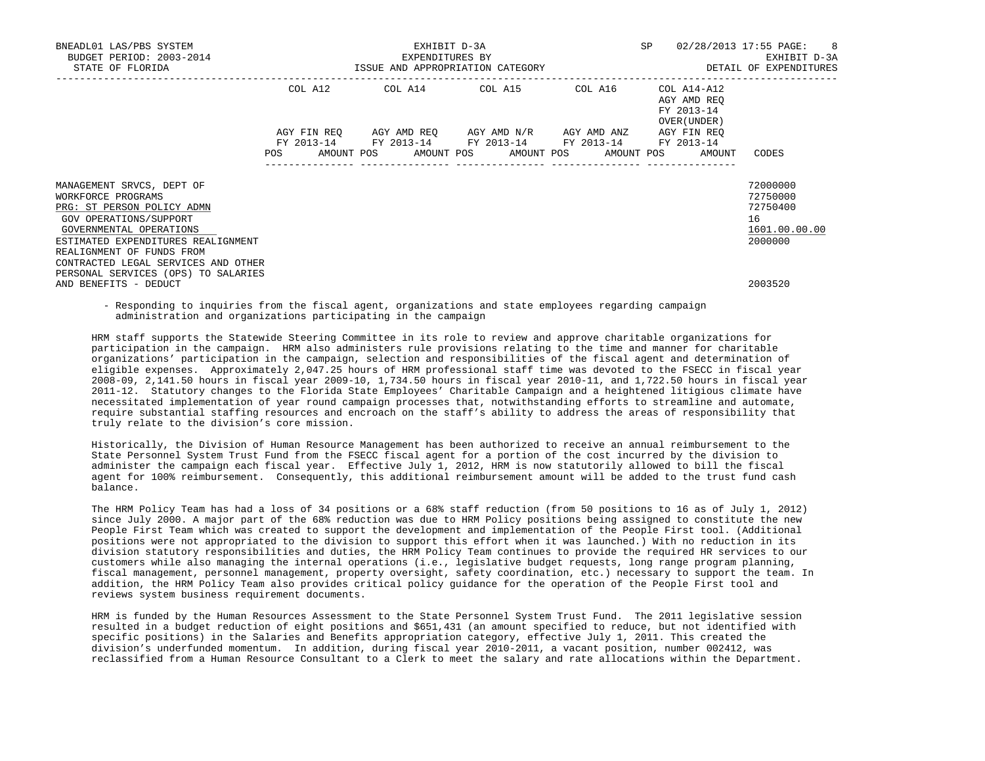| BNEADL01 LAS/PBS SYSTEM<br>BUDGET PERIOD: 2003-2014                                                                              | SP<br>EXHIBIT D-3A<br>EXPENDITURES BY |  |  |  |  |                                     |  |                                                                                            |                                          |                                                     | 02/28/2013 17:55 PAGE: 8<br>EXHIBIT D-3A |
|----------------------------------------------------------------------------------------------------------------------------------|---------------------------------------|--|--|--|--|-------------------------------------|--|--------------------------------------------------------------------------------------------|------------------------------------------|-----------------------------------------------------|------------------------------------------|
| STATE OF FLORIDA                                                                                                                 | ISSUE AND APPROPRIATION CATEGORY      |  |  |  |  |                                     |  |                                                                                            |                                          |                                                     | DETAIL OF EXPENDITURES                   |
|                                                                                                                                  | COL A12<br>COL A14 COL A15 COL A16    |  |  |  |  |                                     |  |                                                                                            | COL A14-A12<br>AGY AMD REO<br>FY 2013-14 |                                                     |                                          |
|                                                                                                                                  | AGY FIN REO<br>POS                    |  |  |  |  | AGY AMD REO AGY AMD N/R AGY AMD ANZ |  | FY 2013-14 FY 2013-14 FY 2013-14 FY 2013-14<br>AMOUNT POS AMOUNT POS AMOUNT POS AMOUNT POS |                                          | OVER (UNDER)<br>AGY FIN REO<br>FY 2013-14<br>AMOUNT | CODES                                    |
| MANAGEMENT SRVCS, DEPT OF<br>WORKFORCE PROGRAMS<br>PRG: ST PERSON POLICY ADMN                                                    |                                       |  |  |  |  |                                     |  |                                                                                            |                                          |                                                     | 72000000<br>72750000<br>72750400         |
| GOV OPERATIONS/SUPPORT<br>GOVERNMENTAL OPERATIONS<br>ESTIMATED EXPENDITURES REALIGNMENT                                          |                                       |  |  |  |  |                                     |  |                                                                                            |                                          |                                                     | 16<br>1601.00.00.00<br>2000000           |
| REALIGNMENT OF FUNDS FROM<br>CONTRACTED LEGAL SERVICES AND OTHER<br>PERSONAL SERVICES (OPS) TO SALARIES<br>AND BENEFITS - DEDUCT |                                       |  |  |  |  |                                     |  |                                                                                            |                                          |                                                     | 2003520                                  |

 - Responding to inquiries from the fiscal agent, organizations and state employees regarding campaign administration and organizations participating in the campaign

 HRM staff supports the Statewide Steering Committee in its role to review and approve charitable organizations for participation in the campaign. HRM also administers rule provisions relating to the time and manner for charitable organizations' participation in the campaign, selection and responsibilities of the fiscal agent and determination of eligible expenses. Approximately 2,047.25 hours of HRM professional staff time was devoted to the FSECC in fiscal year 2008-09, 2,141.50 hours in fiscal year 2009-10, 1,734.50 hours in fiscal year 2010-11, and 1,722.50 hours in fiscal year 2011-12. Statutory changes to the Florida State Employees' Charitable Campaign and a heightened litigious climate have necessitated implementation of year round campaign processes that, notwithstanding efforts to streamline and automate, require substantial staffing resources and encroach on the staff's ability to address the areas of responsibility that truly relate to the division's core mission.

 Historically, the Division of Human Resource Management has been authorized to receive an annual reimbursement to the State Personnel System Trust Fund from the FSECC fiscal agent for a portion of the cost incurred by the division to administer the campaign each fiscal year. Effective July 1, 2012, HRM is now statutorily allowed to bill the fiscal agent for 100% reimbursement. Consequently, this additional reimbursement amount will be added to the trust fund cash balance.

 The HRM Policy Team has had a loss of 34 positions or a 68% staff reduction (from 50 positions to 16 as of July 1, 2012) since July 2000. A major part of the 68% reduction was due to HRM Policy positions being assigned to constitute the new People First Team which was created to support the development and implementation of the People First tool. (Additional positions were not appropriated to the division to support this effort when it was launched.) With no reduction in its division statutory responsibilities and duties, the HRM Policy Team continues to provide the required HR services to our customers while also managing the internal operations (i.e., legislative budget requests, long range program planning, fiscal management, personnel management, property oversight, safety coordination, etc.) necessary to support the team. In addition, the HRM Policy Team also provides critical policy guidance for the operation of the People First tool and reviews system business requirement documents.

 HRM is funded by the Human Resources Assessment to the State Personnel System Trust Fund. The 2011 legislative session resulted in a budget reduction of eight positions and \$651,431 (an amount specified to reduce, but not identified with specific positions) in the Salaries and Benefits appropriation category, effective July 1, 2011. This created the division's underfunded momentum. In addition, during fiscal year 2010-2011, a vacant position, number 002412, was reclassified from a Human Resource Consultant to a Clerk to meet the salary and rate allocations within the Department.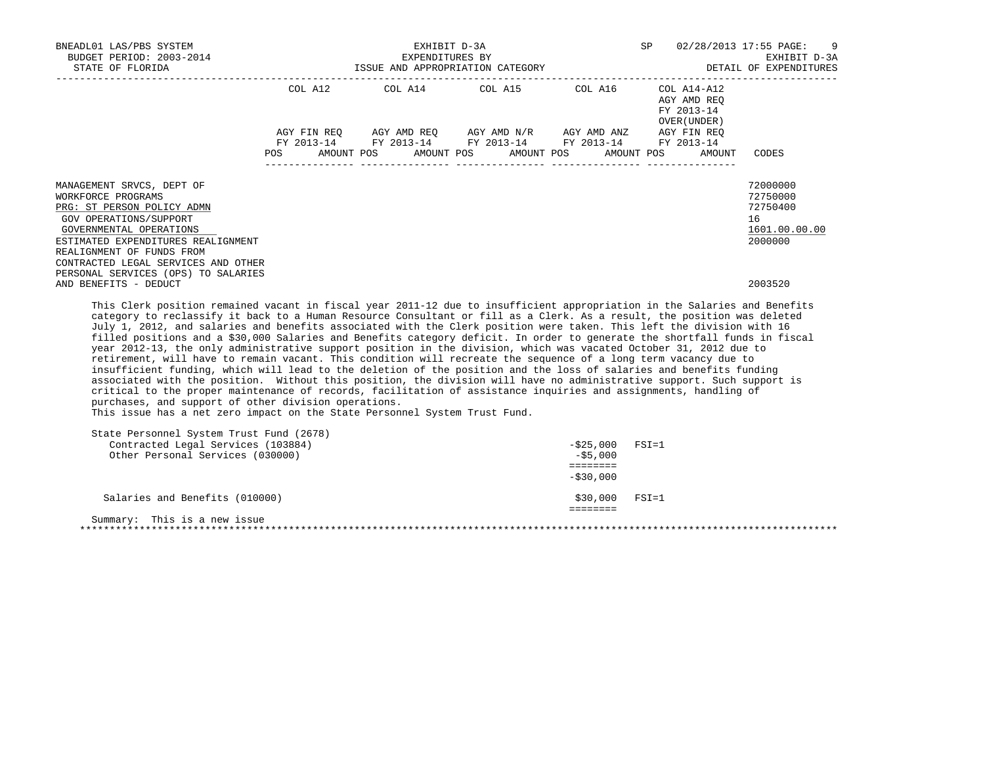| BNEADL01 LAS/PBS SYSTEM<br>BUDGET PERIOD: 2003-2014 |                                                     |             |  | SP                                                                                 |  | 02/28/2013 17:55 PAGE: 9<br>EXHIBIT D-3A |  |         |  |                                                          |                        |
|-----------------------------------------------------|-----------------------------------------------------|-------------|--|------------------------------------------------------------------------------------|--|------------------------------------------|--|---------|--|----------------------------------------------------------|------------------------|
| STATE OF FLORIDA                                    | EXPENDITURES BY<br>ISSUE AND APPROPRIATION CATEGORY |             |  |                                                                                    |  |                                          |  |         |  |                                                          | DETAIL OF EXPENDITURES |
|                                                     |                                                     | COL A12     |  | COL A14 COL A15                                                                    |  |                                          |  | COL A16 |  | COL A14-A12<br>AGY AMD REO<br>FY 2013-14<br>OVER (UNDER) |                        |
|                                                     |                                                     | AGY FIN REO |  | AGY AMD REO AGY AMD N/R AGY AMD ANZ<br>FY 2013-14 FY 2013-14 FY 2013-14 FY 2013-14 |  |                                          |  |         |  | AGY FIN REO<br>FY 2013-14                                |                        |
|                                                     | <b>POS</b>                                          |             |  | AMOUNT POS AMOUNT POS AMOUNT POS AMOUNT POS                                        |  |                                          |  |         |  | AMOUNT                                                   | CODES                  |
| MANAGEMENT SRVCS, DEPT OF                           |                                                     |             |  |                                                                                    |  |                                          |  |         |  |                                                          | 72000000               |
| WORKFORCE PROGRAMS                                  |                                                     |             |  |                                                                                    |  |                                          |  |         |  |                                                          | 72750000               |
| PRG: ST PERSON POLICY ADMN                          |                                                     |             |  |                                                                                    |  |                                          |  |         |  |                                                          | 72750400               |
| GOV OPERATIONS/SUPPORT                              |                                                     |             |  |                                                                                    |  |                                          |  |         |  |                                                          | 16                     |
| GOVERNMENTAL OPERATIONS                             |                                                     |             |  |                                                                                    |  |                                          |  |         |  |                                                          | 1601.00.00.00          |
| ESTIMATED EXPENDITURES REALIGNMENT                  |                                                     |             |  |                                                                                    |  |                                          |  |         |  |                                                          | 2000000                |
| REALIGNMENT OF FUNDS FROM                           |                                                     |             |  |                                                                                    |  |                                          |  |         |  |                                                          |                        |
| CONTRACTED LEGAL SERVICES AND OTHER                 |                                                     |             |  |                                                                                    |  |                                          |  |         |  |                                                          |                        |
| PERSONAL SERVICES (OPS) TO SALARIES                 |                                                     |             |  |                                                                                    |  |                                          |  |         |  |                                                          |                        |
| AND BENEFITS - DEDUCT                               |                                                     |             |  |                                                                                    |  |                                          |  |         |  |                                                          | 2003520                |

 This Clerk position remained vacant in fiscal year 2011-12 due to insufficient appropriation in the Salaries and Benefits category to reclassify it back to a Human Resource Consultant or fill as a Clerk. As a result, the position was deleted July 1, 2012, and salaries and benefits associated with the Clerk position were taken. This left the division with 16 filled positions and a \$30,000 Salaries and Benefits category deficit. In order to generate the shortfall funds in fiscal year 2012-13, the only administrative support position in the division, which was vacated October 31, 2012 due to retirement, will have to remain vacant. This condition will recreate the sequence of a long term vacancy due to insufficient funding, which will lead to the deletion of the position and the loss of salaries and benefits funding associated with the position. Without this position, the division will have no administrative support. Such support is critical to the proper maintenance of records, facilitation of assistance inquiries and assignments, handling of purchases, and support of other division operations.

This issue has a net zero impact on the State Personnel System Trust Fund.

| State Personnel System Trust Fund (2678) |              |           |
|------------------------------------------|--------------|-----------|
| Contracted Legal Services (103884)       | -\$25,000    | FSI=1     |
| Other Personal Services (030000)         | $-$ \$5,000  |           |
|                                          |              |           |
|                                          | $-$ \$30,000 |           |
| Salaries and Benefits (010000)           | \$30,000     | $FSI = 1$ |
|                                          |              |           |
| Summary: This is a new issue             |              |           |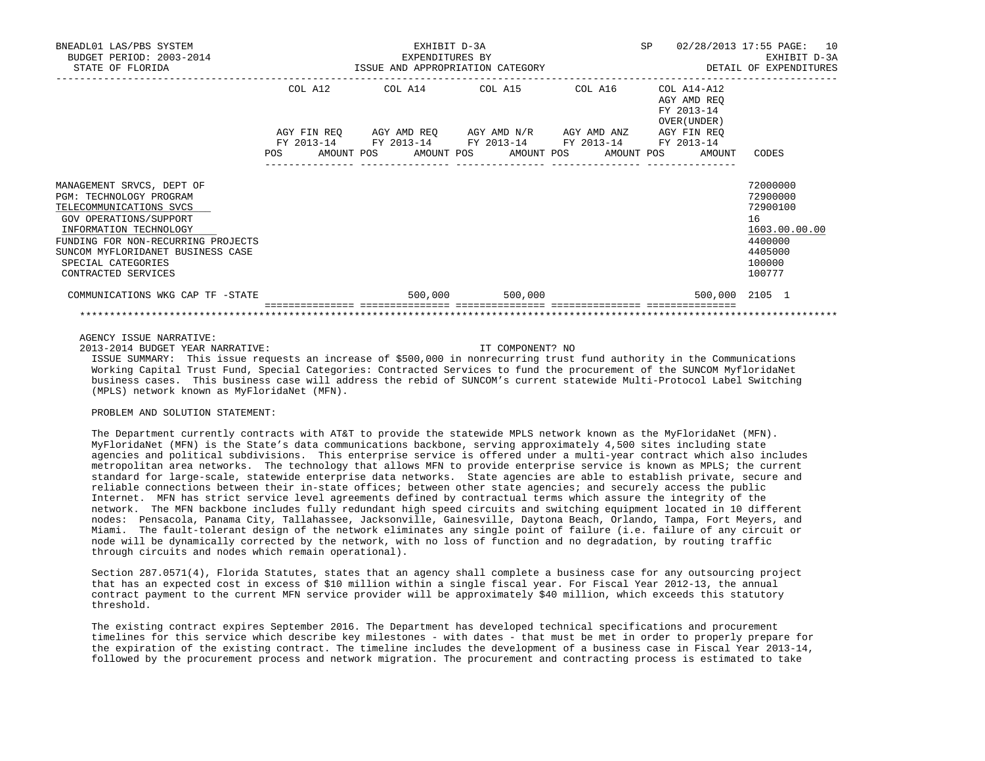| BNEADL01 LAS/PBS SYSTEM<br>BUDGET PERIOD: 2003-2014<br>STATE OF FLORIDA                                                                                                                                                                                            |         | EXHIBIT D-3A<br>EXPENDITURES BY<br>EXPENDITURES BY<br>ISSUE AND APPROPRIATION CATEGORY THE SELL OF EXPENDITURES                                              | SP                      | 02/28/2013 17:55 PAGE: 10<br>EXHIBIT D-3A |                                           |                                                                                                   |
|--------------------------------------------------------------------------------------------------------------------------------------------------------------------------------------------------------------------------------------------------------------------|---------|--------------------------------------------------------------------------------------------------------------------------------------------------------------|-------------------------|-------------------------------------------|-------------------------------------------|---------------------------------------------------------------------------------------------------|
|                                                                                                                                                                                                                                                                    | COL A12 | COL A14 COL A15 COL A16 COL A14-A12<br>AGY FIN REQ AGY AMD REQ AGY AMD N/R AGY AMD ANZ AGY FIN REQ<br>FY 2013-14 FY 2013-14 FY 2013-14 FY 2013-14 FY 2013-14 |                         |                                           | AGY AMD REO<br>FY 2013-14<br>OVER (UNDER) |                                                                                                   |
|                                                                                                                                                                                                                                                                    |         | POS AMOUNT POS AMOUNT POS AMOUNT POS AMOUNT POS                                                                                                              |                         |                                           | AMOUNT                                    | CODES                                                                                             |
| MANAGEMENT SRVCS, DEPT OF<br><b>PGM: TECHNOLOGY PROGRAM</b><br>TELECOMMUNICATIONS SVCS<br>GOV OPERATIONS/SUPPORT<br>INFORMATION TECHNOLOGY<br>FUNDING FOR NON-RECURRING PROJECTS<br>SUNCOM MYFLORIDANET BUSINESS CASE<br>SPECIAL CATEGORIES<br>CONTRACTED SERVICES |         |                                                                                                                                                              |                         |                                           |                                           | 72000000<br>72900000<br>72900100<br>16<br>1603.00.00.00<br>4400000<br>4405000<br>100000<br>100777 |
| COMMUNICATIONS WKG CAP TF -STATE                                                                                                                                                                                                                                   |         |                                                                                                                                                              | 500,000 500,000 500,000 |                                           |                                           | 500,000 2105 1                                                                                    |
|                                                                                                                                                                                                                                                                    |         |                                                                                                                                                              |                         |                                           | ---------------- ----------------         |                                                                                                   |

AGENCY ISSUE NARRATIVE:

2013-2014 BUDGET YEAR NARRATIVE: IT COMPONENT? NO

 ISSUE SUMMARY: This issue requests an increase of \$500,000 in nonrecurring trust fund authority in the Communications Working Capital Trust Fund, Special Categories: Contracted Services to fund the procurement of the SUNCOM MyfloridaNet business cases. This business case will address the rebid of SUNCOM's current statewide Multi-Protocol Label Switching (MPLS) network known as MyFloridaNet (MFN).

## PROBLEM AND SOLUTION STATEMENT:

 The Department currently contracts with AT&T to provide the statewide MPLS network known as the MyFloridaNet (MFN). MyFloridaNet (MFN) is the State's data communications backbone, serving approximately 4,500 sites including state agencies and political subdivisions. This enterprise service is offered under a multi-year contract which also includes metropolitan area networks. The technology that allows MFN to provide enterprise service is known as MPLS; the current standard for large-scale, statewide enterprise data networks. State agencies are able to establish private, secure and reliable connections between their in-state offices; between other state agencies; and securely access the public Internet. MFN has strict service level agreements defined by contractual terms which assure the integrity of the network. The MFN backbone includes fully redundant high speed circuits and switching equipment located in 10 different nodes: Pensacola, Panama City, Tallahassee, Jacksonville, Gainesville, Daytona Beach, Orlando, Tampa, Fort Meyers, and Miami. The fault-tolerant design of the network eliminates any single point of failure (i.e. failure of any circuit or node will be dynamically corrected by the network, with no loss of function and no degradation, by routing traffic through circuits and nodes which remain operational).

 Section 287.0571(4), Florida Statutes, states that an agency shall complete a business case for any outsourcing project that has an expected cost in excess of \$10 million within a single fiscal year. For Fiscal Year 2012-13, the annual contract payment to the current MFN service provider will be approximately \$40 million, which exceeds this statutory threshold.

 The existing contract expires September 2016. The Department has developed technical specifications and procurement timelines for this service which describe key milestones - with dates - that must be met in order to properly prepare for the expiration of the existing contract. The timeline includes the development of a business case in Fiscal Year 2013-14, followed by the procurement process and network migration. The procurement and contracting process is estimated to take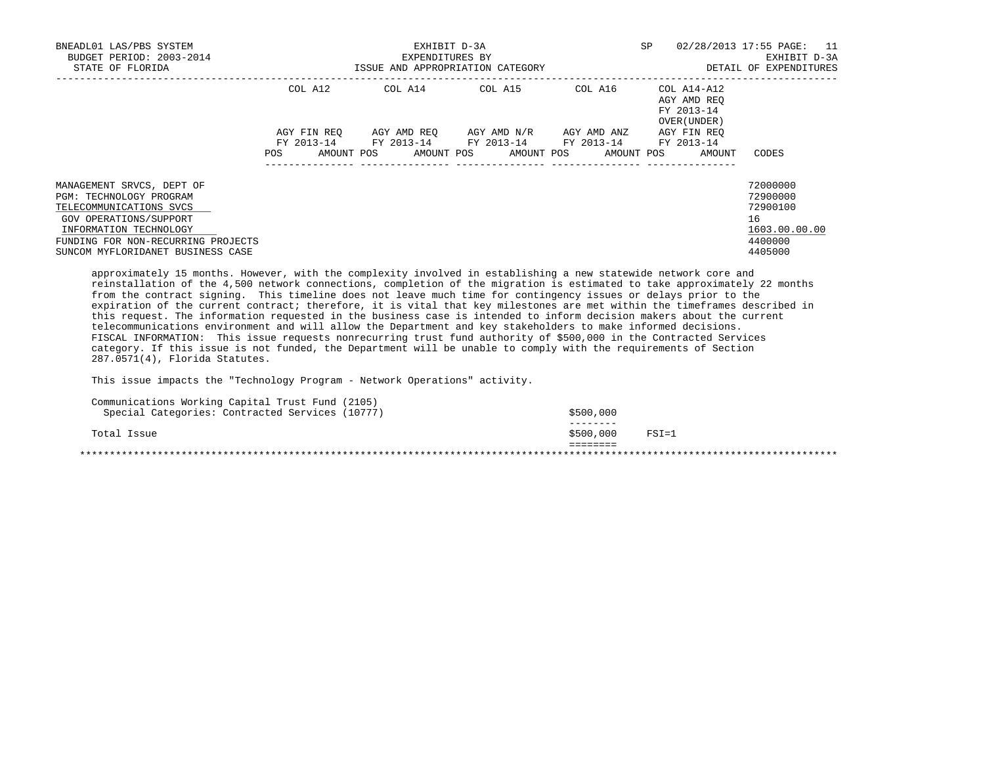| BNEADL01 LAS/PBS SYSTEM<br>BUDGET PERIOD: 2003-2014<br>STATE OF FLORIDA | EXHIBIT D-3A<br>EXPENDITURES BY<br>ISSUE AND APPROPRIATION CATEGORY |            |  |                                             |  |             | <b>SP</b> |                                                          | 02/28/2013 17:55 PAGE: 11<br>EXHIBIT D-3A<br>DETAIL OF EXPENDITURES |            |               |
|-------------------------------------------------------------------------|---------------------------------------------------------------------|------------|--|---------------------------------------------|--|-------------|-----------|----------------------------------------------------------|---------------------------------------------------------------------|------------|---------------|
|                                                                         | COL A12<br>AGY FIN REO                                              |            |  | AGY AMD REO AGY AMD N/R                     |  | AGY AMD ANZ |           | AGY AMD REO<br>FY 2013-14<br>OVER (UNDER)<br>AGY FIN REO |                                                                     |            |               |
|                                                                         |                                                                     |            |  | FY 2013-14 FY 2013-14 FY 2013-14 FY 2013-14 |  |             |           |                                                          |                                                                     | FY 2013-14 |               |
|                                                                         | POS.                                                                | AMOUNT POS |  | AMOUNT POS AMOUNT POS                       |  |             |           | AMOUNT POS                                               |                                                                     | AMOUNT     | CODES         |
| MANAGEMENT SRVCS, DEPT OF                                               |                                                                     |            |  |                                             |  |             |           |                                                          |                                                                     |            | 72000000      |
| PGM: TECHNOLOGY PROGRAM                                                 |                                                                     |            |  |                                             |  |             |           |                                                          |                                                                     |            | 72900000      |
| TELECOMMUNICATIONS SVCS                                                 |                                                                     |            |  |                                             |  |             |           |                                                          |                                                                     |            | 72900100      |
| GOV OPERATIONS/SUPPORT                                                  |                                                                     |            |  |                                             |  |             |           |                                                          |                                                                     |            | 16            |
| INFORMATION TECHNOLOGY                                                  |                                                                     |            |  |                                             |  |             |           |                                                          |                                                                     |            | 1603.00.00.00 |
| FUNDING FOR NON-RECURRING PROJECTS                                      |                                                                     |            |  |                                             |  |             |           |                                                          |                                                                     |            | 4400000       |
| SUNCOM MYFLORIDANET BUSINESS CASE                                       |                                                                     |            |  |                                             |  |             |           |                                                          |                                                                     |            | 4405000       |

 approximately 15 months. However, with the complexity involved in establishing a new statewide network core and reinstallation of the 4,500 network connections, completion of the migration is estimated to take approximately 22 months from the contract signing. This timeline does not leave much time for contingency issues or delays prior to the expiration of the current contract; therefore, it is vital that key milestones are met within the timeframes described in this request. The information requested in the business case is intended to inform decision makers about the current telecommunications environment and will allow the Department and key stakeholders to make informed decisions. FISCAL INFORMATION: This issue requests nonrecurring trust fund authority of \$500,000 in the Contracted Services category. If this issue is not funded, the Department will be unable to comply with the requirements of Section 287.0571(4), Florida Statutes.

This issue impacts the "Technology Program - Network Operations" activity.

| Communications Working Capital Trust Fund (2105) |           |           |
|--------------------------------------------------|-----------|-----------|
| Special Categories: Contracted Services (10777)  | \$500,000 |           |
|                                                  |           |           |
| Total Issue                                      | \$500,000 | $FSI = 1$ |
|                                                  |           |           |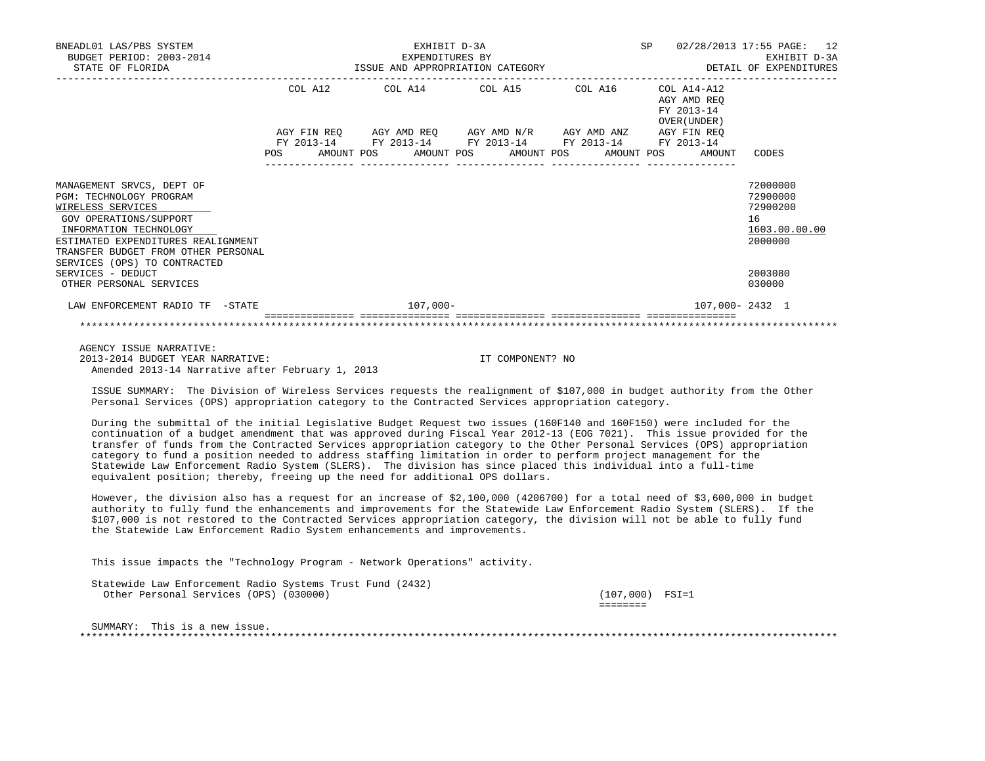| BNEADL01 LAS/PBS SYSTEM<br>BUDGET PERIOD: 2003-2014<br>STATE OF FLORIDA                                                                                                                                                                    | EXHIBIT D-3A<br>EXPENDITURES BY<br>EXPENDITURES BY<br>ISSUE AND APPROPRIATION CATEGORY<br>__________________________________ |  |  |                                                                                                                       |  |                                             |  |  |                                           | SP 02/28/2013 17:55 PAGE: 12<br>EXHIBIT D-3A<br>DETAIL OF EXPENDITURES |                                                                    |
|--------------------------------------------------------------------------------------------------------------------------------------------------------------------------------------------------------------------------------------------|------------------------------------------------------------------------------------------------------------------------------|--|--|-----------------------------------------------------------------------------------------------------------------------|--|---------------------------------------------|--|--|-------------------------------------------|------------------------------------------------------------------------|--------------------------------------------------------------------|
|                                                                                                                                                                                                                                            |                                                                                                                              |  |  |                                                                                                                       |  | COL A12 COL A14 COL A15 COL A16 COL A14-A12 |  |  | AGY AMD REO<br>FY 2013-14<br>OVER (UNDER) |                                                                        |                                                                    |
|                                                                                                                                                                                                                                            |                                                                                                                              |  |  | AGY FIN REQ AGY AMD REQ AGY AMD N/R AGY AMD ANZ AGY FIN REQ<br>FY 2013-14 FY 2013-14 FY 2013-14 FY 2013-14 FY 2013-14 |  |                                             |  |  |                                           | POS AMOUNT POS AMOUNT POS AMOUNT POS AMOUNT POS AMOUNT CODES           |                                                                    |
| MANAGEMENT SRVCS, DEPT OF<br>PGM: TECHNOLOGY PROGRAM<br>WIRELESS SERVICES<br>GOV OPERATIONS/SUPPORT<br>INFORMATION TECHNOLOGY<br>ESTIMATED EXPENDITURES REALIGNMENT<br>TRANSFER BUDGET FROM OTHER PERSONAL<br>SERVICES (OPS) TO CONTRACTED |                                                                                                                              |  |  | ________________                                                                                                      |  |                                             |  |  |                                           |                                                                        | 72000000<br>72900000<br>72900200<br>16<br>1603.00.00.00<br>2000000 |
| SERVICES - DEDUCT<br>OTHER PERSONAL SERVICES                                                                                                                                                                                               |                                                                                                                              |  |  |                                                                                                                       |  |                                             |  |  |                                           |                                                                        | 2003080<br>030000                                                  |
| LAW ENFORCEMENT RADIO TF -STATE                                                                                                                                                                                                            |                                                                                                                              |  |  | $107,000 -$                                                                                                           |  |                                             |  |  |                                           | 107,000-2432 1                                                         |                                                                    |
|                                                                                                                                                                                                                                            |                                                                                                                              |  |  |                                                                                                                       |  |                                             |  |  |                                           |                                                                        |                                                                    |

 AGENCY ISSUE NARRATIVE: 2013-2014 BUDGET YEAR NARRATIVE: IT COMPONENT? NO Amended 2013-14 Narrative after February 1, 2013

 ISSUE SUMMARY: The Division of Wireless Services requests the realignment of \$107,000 in budget authority from the Other Personal Services (OPS) appropriation category to the Contracted Services appropriation category.

 During the submittal of the initial Legislative Budget Request two issues (160F140 and 160F150) were included for the continuation of a budget amendment that was approved during Fiscal Year 2012-13 (EOG 7021). This issue provided for the transfer of funds from the Contracted Services appropriation category to the Other Personal Services (OPS) appropriation category to fund a position needed to address staffing limitation in order to perform project management for the Statewide Law Enforcement Radio System (SLERS). The division has since placed this individual into a full-time equivalent position; thereby, freeing up the need for additional OPS dollars.

 However, the division also has a request for an increase of \$2,100,000 (4206700) for a total need of \$3,600,000 in budget authority to fully fund the enhancements and improvements for the Statewide Law Enforcement Radio System (SLERS). If the \$107,000 is not restored to the Contracted Services appropriation category, the division will not be able to fully fund the Statewide Law Enforcement Radio System enhancements and improvements.

This issue impacts the "Technology Program - Network Operations" activity.

| Statewide Law Enforcement Radio Systems Trust Fund (2432) |                                        |  |  |  |  |  |                      |  |
|-----------------------------------------------------------|----------------------------------------|--|--|--|--|--|----------------------|--|
|                                                           | Other Personal Services (OPS) (030000) |  |  |  |  |  | $(107,000)$ FSI=1    |  |
|                                                           |                                        |  |  |  |  |  | ________<br>-------- |  |
|                                                           |                                        |  |  |  |  |  |                      |  |

SUMMARY: This is a new issue. \*\*\*\*\*\*\*\*\*\*\*\*\*\*\*\*\*\*\*\*\*\*\*\*\*\*\*\*\*\*\*\*\*\*\*\*\*\*\*\*\*\*\*\*\*\*\*\*\*\*\*\*\*\*\*\*\*\*\*\*\*\*\*\*\*\*\*\*\*\*\*\*\*\*\*\*\*\*\*\*\*\*\*\*\*\*\*\*\*\*\*\*\*\*\*\*\*\*\*\*\*\*\*\*\*\*\*\*\*\*\*\*\*\*\*\*\*\*\*\*\*\*\*\*\*\*\*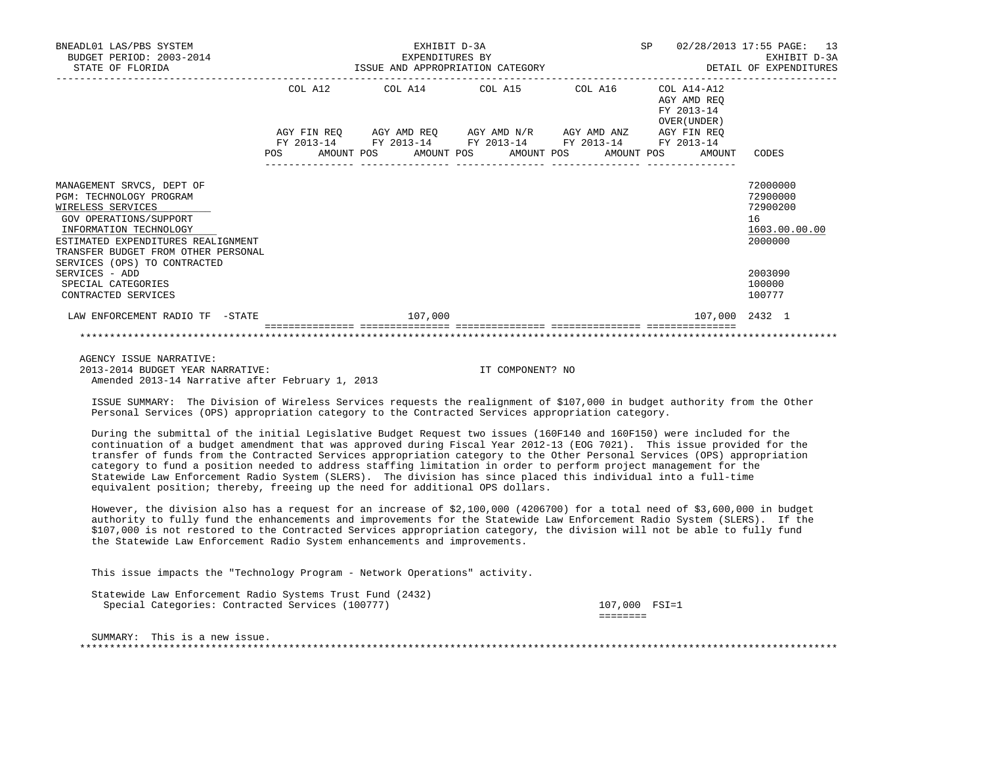| BNEADL01 LAS/PBS SYSTEM<br>BUDGET PERIOD: 2003-2014<br>STATE OF FLORIDA                                                                                                                                           |                                                                                                                                                             | EXHIBIT D-3A<br>EXPENDITURES BY<br>ISSUE AND APPROPRIATION CATEGORY | SP<br>----------------- | 02/28/2013 17:55 PAGE: 13<br>EXHIBIT D-3A<br>DETAIL OF EXPENDITURES |                                                                    |
|-------------------------------------------------------------------------------------------------------------------------------------------------------------------------------------------------------------------|-------------------------------------------------------------------------------------------------------------------------------------------------------------|---------------------------------------------------------------------|-------------------------|---------------------------------------------------------------------|--------------------------------------------------------------------|
|                                                                                                                                                                                                                   | COL A12<br>COL A14 COL A15 COL A16<br>AGY FIN REO AGY AMD REO AGY AMD N/R AGY AMD ANZ AGY FIN REO<br>FY 2013-14 FY 2013-14 FY 2013-14 FY 2013-14 FY 2013-14 |                                                                     |                         | COL A14-A12<br>AGY AMD REO<br>FY 2013-14<br>OVER (UNDER)            |                                                                    |
|                                                                                                                                                                                                                   | POS                                                                                                                                                         | AMOUNT POS AMOUNT POS AMOUNT POS                                    | AMOUNT POS              | AMOUNT                                                              | CODES                                                              |
| MANAGEMENT SRVCS, DEPT OF<br><b>PGM: TECHNOLOGY PROGRAM</b><br>WIRELESS SERVICES<br>GOV OPERATIONS/SUPPORT<br>INFORMATION TECHNOLOGY<br>ESTIMATED EXPENDITURES REALIGNMENT<br>TRANSFER BUDGET FROM OTHER PERSONAL |                                                                                                                                                             |                                                                     |                         |                                                                     | 72000000<br>72900000<br>72900200<br>16<br>1603.00.00.00<br>2000000 |
| SERVICES (OPS) TO CONTRACTED<br>SERVICES - ADD<br>SPECIAL CATEGORIES<br>CONTRACTED SERVICES                                                                                                                       |                                                                                                                                                             |                                                                     |                         |                                                                     | 2003090<br>100000<br>100777                                        |
| LAW ENFORCEMENT RADIO TF -STATE                                                                                                                                                                                   |                                                                                                                                                             | 107,000                                                             |                         | 107,000 2432 1                                                      |                                                                    |
|                                                                                                                                                                                                                   |                                                                                                                                                             |                                                                     |                         |                                                                     |                                                                    |

 AGENCY ISSUE NARRATIVE: 2013-2014 BUDGET YEAR NARRATIVE: IT COMPONENT? NO Amended 2013-14 Narrative after February 1, 2013

 ISSUE SUMMARY: The Division of Wireless Services requests the realignment of \$107,000 in budget authority from the Other Personal Services (OPS) appropriation category to the Contracted Services appropriation category.

 During the submittal of the initial Legislative Budget Request two issues (160F140 and 160F150) were included for the continuation of a budget amendment that was approved during Fiscal Year 2012-13 (EOG 7021). This issue provided for the transfer of funds from the Contracted Services appropriation category to the Other Personal Services (OPS) appropriation category to fund a position needed to address staffing limitation in order to perform project management for the Statewide Law Enforcement Radio System (SLERS). The division has since placed this individual into a full-time equivalent position; thereby, freeing up the need for additional OPS dollars.

 However, the division also has a request for an increase of \$2,100,000 (4206700) for a total need of \$3,600,000 in budget authority to fully fund the enhancements and improvements for the Statewide Law Enforcement Radio System (SLERS). If the \$107,000 is not restored to the Contracted Services appropriation category, the division will not be able to fully fund the Statewide Law Enforcement Radio System enhancements and improvements.

This issue impacts the "Technology Program - Network Operations" activity.

 Statewide Law Enforcement Radio Systems Trust Fund (2432) Special Categories: Contracted Services (100777) 107,000 FSI=1

========

 SUMMARY: This is a new issue. \*\*\*\*\*\*\*\*\*\*\*\*\*\*\*\*\*\*\*\*\*\*\*\*\*\*\*\*\*\*\*\*\*\*\*\*\*\*\*\*\*\*\*\*\*\*\*\*\*\*\*\*\*\*\*\*\*\*\*\*\*\*\*\*\*\*\*\*\*\*\*\*\*\*\*\*\*\*\*\*\*\*\*\*\*\*\*\*\*\*\*\*\*\*\*\*\*\*\*\*\*\*\*\*\*\*\*\*\*\*\*\*\*\*\*\*\*\*\*\*\*\*\*\*\*\*\*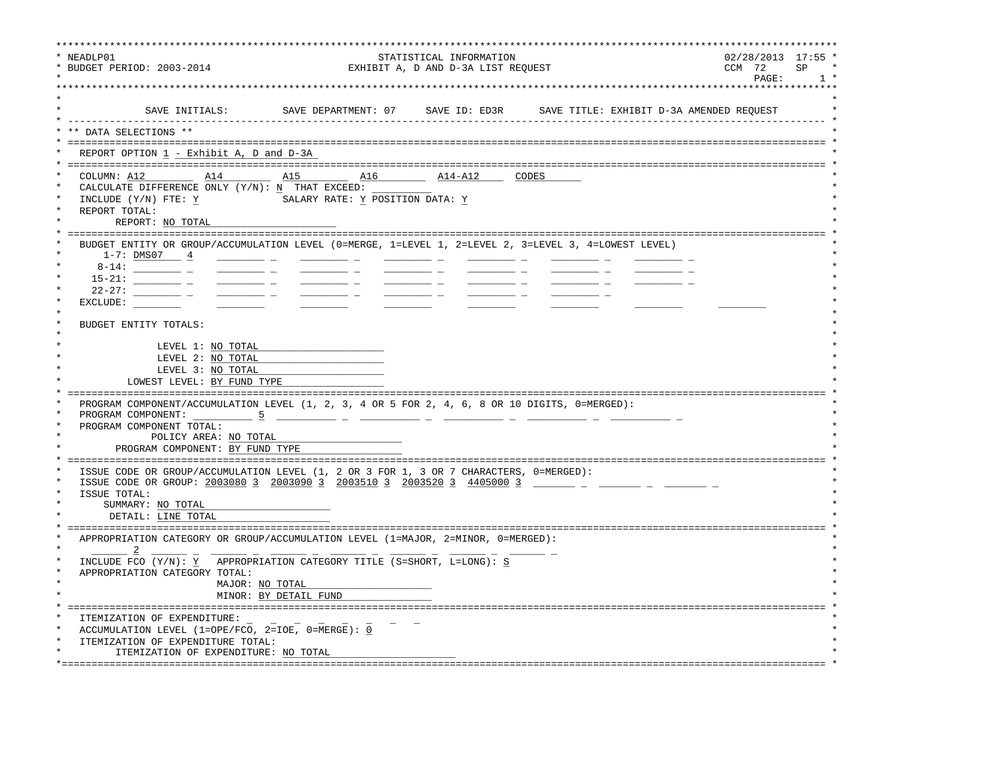| NEADLP01<br>* BUDGET PERIOD: 2003-2014                                                                                                                                                                                      | $02/28/2013$ 17:55 $^{\prime}$<br>CCM 72<br>PAGE:                                         | <b>SP</b>                              |  |  |  |
|-----------------------------------------------------------------------------------------------------------------------------------------------------------------------------------------------------------------------------|-------------------------------------------------------------------------------------------|----------------------------------------|--|--|--|
|                                                                                                                                                                                                                             | SAVE INITIALS: SAVE DEPARTMENT: 07 SAVE ID: ED3R SAVE TITLE: EXHIBIT D-3A AMENDED REQUEST |                                        |  |  |  |
| DATA SELECTIONS **                                                                                                                                                                                                          |                                                                                           |                                        |  |  |  |
| REPORT OPTION 1 - Exhibit A, D and D-3A                                                                                                                                                                                     |                                                                                           |                                        |  |  |  |
| COLUMN: $A12$ $A14$<br>CALCULATE DIFFERENCE ONLY $(Y/N): N$ THAT EXCEED:<br>INCLUDE (Y/N) FTE: Y<br>REPORT TOTAL:<br>REPORT: NO TOTAL                                                                                       | SALARY RATE: Y POSITION DATA: Y                                                           |                                        |  |  |  |
| BUDGET ENTITY OR GROUP/ACCUMULATION LEVEL (0=MERGE, 1=LEVEL 1, 2=LEVEL 2, 3=LEVEL 3, 4=LOWEST LEVEL)<br>$1-7:$ <u>DMS07 4</u><br>$22 - 27:$<br>EXCLUDE:<br>BUDGET ENTITY TOTALS:<br>LEVEL 1: NO TOTAL                       |                                                                                           |                                        |  |  |  |
| LEVEL 2: NO TOTAL<br>LEVEL 3: NO TOTAL<br>LOWEST LEVEL: BY FUND TYPE                                                                                                                                                        |                                                                                           |                                        |  |  |  |
| PROGRAM COMPONENT/ACCUMULATION LEVEL (1, 2, 3, 4 OR 5 FOR 2, 4, 6, 8 OR 10 DIGITS, 0=MERGED):<br>PROGRAM COMPONENT:<br>$-5$<br>PROGRAM COMPONENT TOTAL:<br>POLICY AREA: NO TOTAL<br>PROGRAM COMPONENT: BY FUND TYPE         |                                                                                           |                                        |  |  |  |
| ISSUE CODE OR GROUP/ACCUMULATION LEVEL (1, 2 OR 3 FOR 1, 3 OR 7 CHARACTERS, 0=MERGED):<br>ISSUE CODE OR GROUP: 2003080 3 2003090 3 2003510 3 2003520 3 4405000 3<br>ISSUE TOTAL:<br>SUMMARY: NO TOTAL<br>DETAIL: LINE TOTAL |                                                                                           |                                        |  |  |  |
| APPROPRIATION CATEGORY OR GROUP/ACCUMULATION LEVEL (1=MAJOR, 2=MINOR, 0=MERGED):                                                                                                                                            |                                                                                           |                                        |  |  |  |
| INCLUDE FCO (Y/N): Y APPROPRIATION CATEGORY TITLE (S=SHORT, L=LONG): S<br>APPROPRIATION CATEGORY TOTAL:<br>MAJOR: NO TOTAL                                                                                                  | MINOR: BY DETAIL FUND                                                                     |                                        |  |  |  |
| ITEMIZATION OF EXPENDITURE:<br>ACCUMULATION LEVEL (1=OPE/FCO, 2=IOE, 0=MERGE): 0<br>ITEMIZATION OF EXPENDITURE TOTAL:<br>ITEMIZATION OF EXPENDITURE: NO TOTAL                                                               |                                                                                           | ====================================== |  |  |  |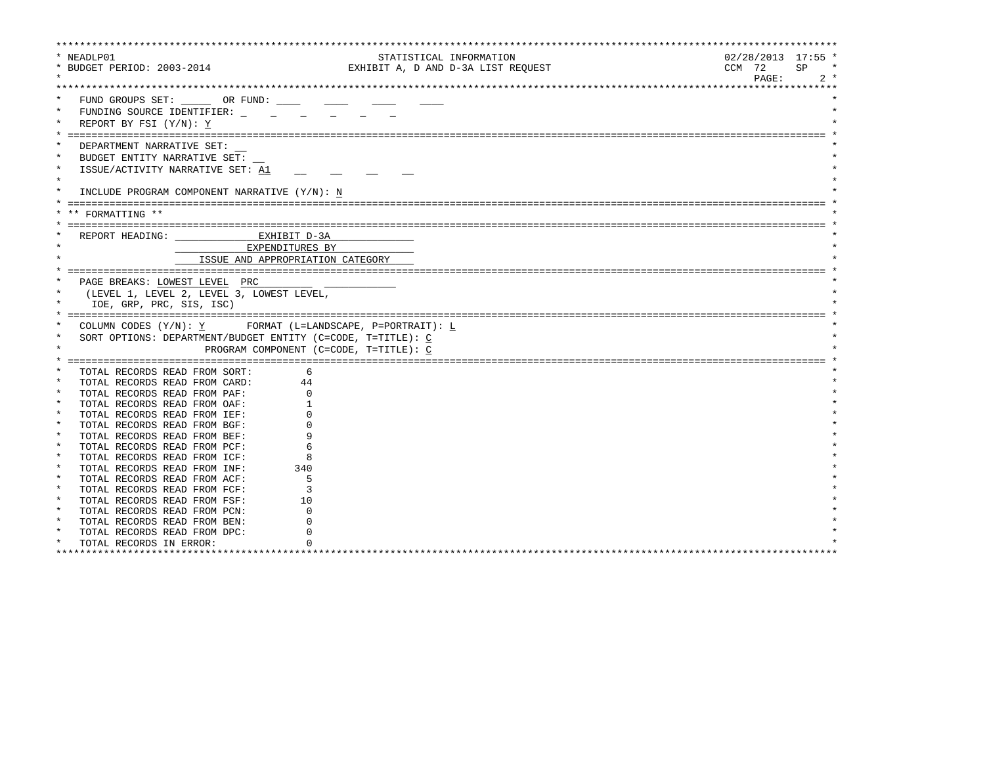| * NEADLP01                                                                    | STATISTICAL INFORMATION            | $02/28/2013$ 17:55 * |
|-------------------------------------------------------------------------------|------------------------------------|----------------------|
| * BUDGET PERIOD: 2003-2014                                                    | EXHIBIT A, D AND D-3A LIST REQUEST | CCM 72<br>SP         |
|                                                                               |                                    | PAGE:<br>$2 *$       |
|                                                                               |                                    |                      |
| FUND GROUPS SET: OR FUND:                                                     |                                    |                      |
| $\star$<br>FUNDING SOURCE IDENTIFIER:                                         |                                    |                      |
| REPORT BY FSI (Y/N): Y                                                        |                                    |                      |
|                                                                               |                                    |                      |
| DEPARTMENT NARRATIVE SET:                                                     |                                    |                      |
| BUDGET ENTITY NARRATIVE SET:                                                  |                                    |                      |
| $\star$<br>ISSUE/ACTIVITY NARRATIVE SET: A1                                   |                                    |                      |
| $\star$                                                                       |                                    |                      |
| INCLUDE PROGRAM COMPONENT NARRATIVE (Y/N): N                                  |                                    |                      |
|                                                                               |                                    |                      |
| ** FORMATTING **                                                              |                                    |                      |
|                                                                               |                                    |                      |
| EXHIBIT D-3A<br>REPORT HEADING:                                               |                                    |                      |
| EXPENDITURES BY                                                               |                                    |                      |
|                                                                               |                                    |                      |
| ISSUE AND APPROPRIATION CATEGORY                                              |                                    |                      |
|                                                                               |                                    |                      |
| PAGE BREAKS: LOWEST LEVEL PRC                                                 |                                    |                      |
| $\star$<br>(LEVEL 1, LEVEL 2, LEVEL 3, LOWEST LEVEL,                          |                                    |                      |
| IOE, GRP, PRC, SIS, ISC)                                                      |                                    |                      |
|                                                                               |                                    |                      |
| COLUMN CODES $(Y/N): Y$ FORMAT (L=LANDSCAPE, P=PORTRAIT): L                   |                                    |                      |
| $\star$<br>SORT OPTIONS: DEPARTMENT/BUDGET ENTITY (C=CODE, T=TITLE): C        |                                    |                      |
| $\star$<br>PROGRAM COMPONENT (C=CODE, T=TITLE): C                             |                                    |                      |
|                                                                               |                                    |                      |
| TOTAL RECORDS READ FROM SORT:<br>6                                            |                                    |                      |
| TOTAL RECORDS READ FROM CARD:<br>44                                           |                                    |                      |
| TOTAL RECORDS READ FROM PAF:                                                  |                                    |                      |
| $\star$<br>TOTAL RECORDS READ FROM OAF:                                       |                                    |                      |
| $\star$<br>TOTAL RECORDS READ FROM IEF:<br>$\star$                            |                                    |                      |
| TOTAL RECORDS READ FROM BGF:<br>$\star$                                       |                                    |                      |
| TOTAL RECORDS READ FROM BEF:<br>$\star$                                       |                                    |                      |
| TOTAL RECORDS READ FROM PCF:<br>$\ast$                                        |                                    |                      |
| TOTAL RECORDS READ FROM ICF:<br>$\star$<br>340                                |                                    |                      |
| TOTAL RECORDS READ FROM INF:<br>$\star$<br>5                                  |                                    |                      |
| TOTAL RECORDS READ FROM ACF:<br>$\star$<br>२                                  |                                    |                      |
| TOTAL RECORDS READ FROM FCF:<br>$\star$<br>TOTAL RECORDS READ FROM FSF:<br>10 |                                    |                      |
| $\star$                                                                       |                                    |                      |
| TOTAL RECORDS READ FROM PCN:                                                  |                                    |                      |
| TOTAL RECORDS READ FROM BEN:<br>$\star$<br>TOTAL RECORDS READ FROM DPC:       |                                    |                      |
| $\star$<br>TOTAL RECORDS IN ERROR:                                            |                                    |                      |
| ************************                                                      |                                    |                      |